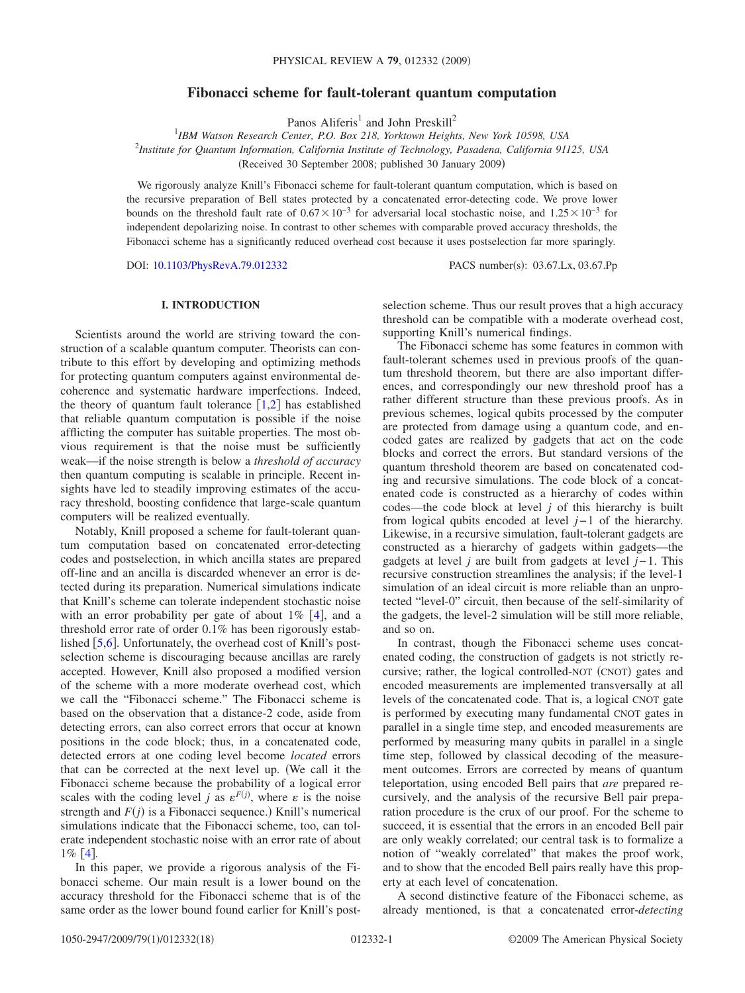# **Fibonacci scheme for fault-tolerant quantum computation**

Panos Aliferis<sup>1</sup> and John Preskill<sup>2</sup>

1 *IBM Watson Research Center, P.O. Box 218, Yorktown Heights, New York 10598, USA* 2 *Institute for Quantum Information, California Institute of Technology, Pasadena, California 91125, USA* Received 30 September 2008; published 30 January 2009-

We rigorously analyze Knill's Fibonacci scheme for fault-tolerant quantum computation, which is based on the recursive preparation of Bell states protected by a concatenated error-detecting code. We prove lower bounds on the threshold fault rate of  $0.67\times10^{-3}$  for adversarial local stochastic noise, and  $1.25\times10^{-3}$  for independent depolarizing noise. In contrast to other schemes with comparable proved accuracy thresholds, the Fibonacci scheme has a significantly reduced overhead cost because it uses postselection far more sparingly.

DOI: [10.1103/PhysRevA.79.012332](http://dx.doi.org/10.1103/PhysRevA.79.012332)

PACS number(s): 03.67.Lx, 03.67.Pp

## **I. INTRODUCTION**

Scientists around the world are striving toward the construction of a scalable quantum computer. Theorists can contribute to this effort by developing and optimizing methods for protecting quantum computers against environmental decoherence and systematic hardware imperfections. Indeed, the theory of quantum fault tolerance  $\lceil 1,2 \rceil$  $\lceil 1,2 \rceil$  $\lceil 1,2 \rceil$  $\lceil 1,2 \rceil$  has established that reliable quantum computation is possible if the noise afflicting the computer has suitable properties. The most obvious requirement is that the noise must be sufficiently weak—if the noise strength is below a *threshold of accuracy* then quantum computing is scalable in principle. Recent insights have led to steadily improving estimates of the accuracy threshold, boosting confidence that large-scale quantum computers will be realized eventually.

Notably, Knill proposed a scheme for fault-tolerant quantum computation based on concatenated error-detecting codes and postselection, in which ancilla states are prepared off-line and an ancilla is discarded whenever an error is detected during its preparation. Numerical simulations indicate that Knill's scheme can tolerate independent stochastic noise with an error probability per gate of about  $1\%$  [[4](#page-17-2)], and a threshold error rate of order 0.1% has been rigorously established  $[5,6]$  $[5,6]$  $[5,6]$  $[5,6]$ . Unfortunately, the overhead cost of Knill's postselection scheme is discouraging because ancillas are rarely accepted. However, Knill also proposed a modified version of the scheme with a more moderate overhead cost, which we call the "Fibonacci scheme." The Fibonacci scheme is based on the observation that a distance-2 code, aside from detecting errors, can also correct errors that occur at known positions in the code block; thus, in a concatenated code, detected errors at one coding level become *located* errors that can be corrected at the next level up. We call it the Fibonacci scheme because the probability of a logical error scales with the coding level *j* as  $\varepsilon^{F(j)}$ , where  $\varepsilon$  is the noise strength and  $F(j)$  is a Fibonacci sequence.) Knill's numerical simulations indicate that the Fibonacci scheme, too, can tolerate independent stochastic noise with an error rate of about  $1\%$  [[4](#page-17-2)].

In this paper, we provide a rigorous analysis of the Fibonacci scheme. Our main result is a lower bound on the accuracy threshold for the Fibonacci scheme that is of the same order as the lower bound found earlier for Knill's postselection scheme. Thus our result proves that a high accuracy threshold can be compatible with a moderate overhead cost, supporting Knill's numerical findings.

The Fibonacci scheme has some features in common with fault-tolerant schemes used in previous proofs of the quantum threshold theorem, but there are also important differences, and correspondingly our new threshold proof has a rather different structure than these previous proofs. As in previous schemes, logical qubits processed by the computer are protected from damage using a quantum code, and encoded gates are realized by gadgets that act on the code blocks and correct the errors. But standard versions of the quantum threshold theorem are based on concatenated coding and recursive simulations. The code block of a concatenated code is constructed as a hierarchy of codes within codes—the code block at level *j* of this hierarchy is built from logical qubits encoded at level *j*−1 of the hierarchy. Likewise, in a recursive simulation, fault-tolerant gadgets are constructed as a hierarchy of gadgets within gadgets—the gadgets at level *j* are built from gadgets at level *j*−1. This recursive construction streamlines the analysis; if the level-1 simulation of an ideal circuit is more reliable than an unprotected "level-0" circuit, then because of the self-similarity of the gadgets, the level-2 simulation will be still more reliable, and so on.

In contrast, though the Fibonacci scheme uses concatenated coding, the construction of gadgets is not strictly recursive; rather, the logical controlled-NOT (CNOT) gates and encoded measurements are implemented transversally at all levels of the concatenated code. That is, a logical CNOT gate is performed by executing many fundamental CNOT gates in parallel in a single time step, and encoded measurements are performed by measuring many qubits in parallel in a single time step, followed by classical decoding of the measurement outcomes. Errors are corrected by means of quantum teleportation, using encoded Bell pairs that *are* prepared recursively, and the analysis of the recursive Bell pair preparation procedure is the crux of our proof. For the scheme to succeed, it is essential that the errors in an encoded Bell pair are only weakly correlated; our central task is to formalize a notion of "weakly correlated" that makes the proof work, and to show that the encoded Bell pairs really have this property at each level of concatenation.

A second distinctive feature of the Fibonacci scheme, as already mentioned, is that a concatenated error-*detecting*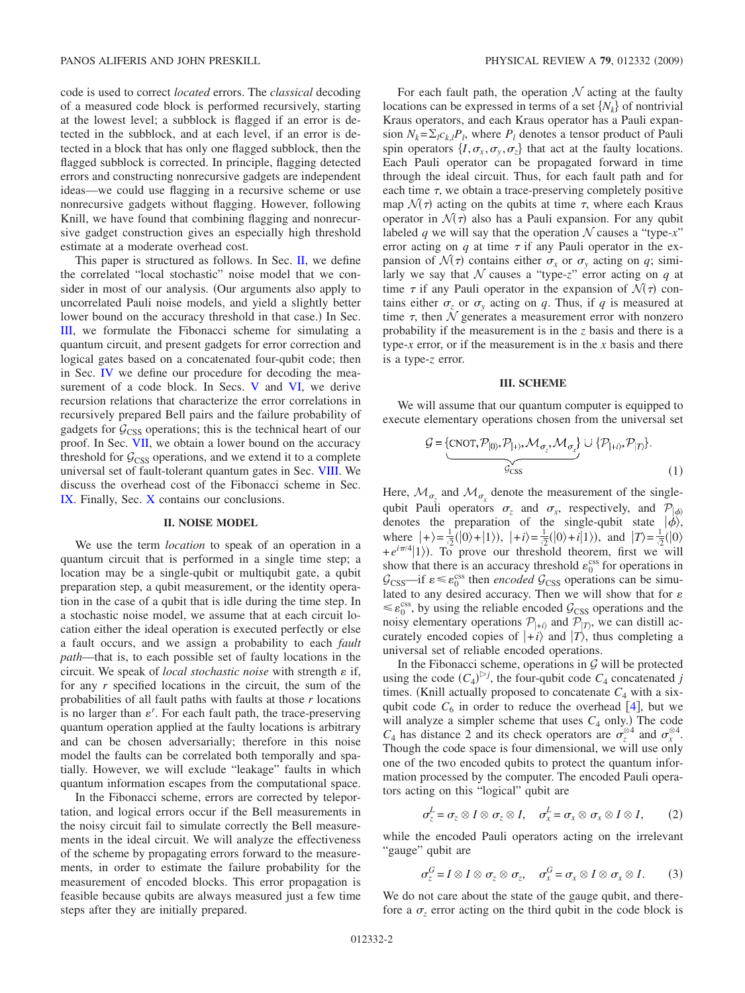code is used to correct *located* errors. The *classical* decoding of a measured code block is performed recursively, starting at the lowest level; a subblock is flagged if an error is detected in the subblock, and at each level, if an error is detected in a block that has only one flagged subblock, then the flagged subblock is corrected. In principle, flagging detected errors and constructing nonrecursive gadgets are independent ideas—we could use flagging in a recursive scheme or use nonrecursive gadgets without flagging. However, following Knill, we have found that combining flagging and nonrecursive gadget construction gives an especially high threshold estimate at a moderate overhead cost.

This paper is structured as follows. In Sec.  $II$ , we define the correlated "local stochastic" noise model that we consider in most of our analysis. Our arguments also apply to uncorrelated Pauli noise models, and yield a slightly better lower bound on the accuracy threshold in that case.) In Sec. [III,](#page-1-1) we formulate the Fibonacci scheme for simulating a quantum circuit, and present gadgets for error correction and logical gates based on a concatenated four-qubit code; then in Sec. [IV](#page-3-0) we define our procedure for decoding the mea-surement of a code block. In Secs. [V](#page-5-0) and [VI,](#page-11-0) we derive recursion relations that characterize the error correlations in recursively prepared Bell pairs and the failure probability of gadgets for  $G<sub>CSS</sub>$  operations; this is the technical heart of our proof. In Sec. [VII,](#page-13-0) we obtain a lower bound on the accuracy threshold for  $G<sub>CSS</sub>$  operations, and we extend it to a complete universal set of fault-tolerant quantum gates in Sec. [VIII.](#page-15-0) We discuss the overhead cost of the Fibonacci scheme in Sec. [IX.](#page-15-1) Finally, Sec. [X](#page-17-5) contains our conclusions.

#### **II. NOISE MODEL**

<span id="page-1-0"></span>We use the term *location* to speak of an operation in a quantum circuit that is performed in a single time step; a location may be a single-qubit or multiqubit gate, a qubit preparation step, a qubit measurement, or the identity operation in the case of a qubit that is idle during the time step. In a stochastic noise model, we assume that at each circuit location either the ideal operation is executed perfectly or else a fault occurs, and we assign a probability to each *fault path*—that is, to each possible set of faulty locations in the circuit. We speak of *local stochastic noise* with strength  $\varepsilon$  if, for any *r* specified locations in the circuit, the sum of the probabilities of all fault paths with faults at those *r* locations is no larger than  $\varepsilon^r$ . For each fault path, the trace-preserving quantum operation applied at the faulty locations is arbitrary and can be chosen adversarially; therefore in this noise model the faults can be correlated both temporally and spatially. However, we will exclude "leakage" faults in which quantum information escapes from the computational space.

In the Fibonacci scheme, errors are corrected by teleportation, and logical errors occur if the Bell measurements in the noisy circuit fail to simulate correctly the Bell measurements in the ideal circuit. We will analyze the effectiveness of the scheme by propagating errors forward to the measurements, in order to estimate the failure probability for the measurement of encoded blocks. This error propagation is feasible because qubits are always measured just a few time steps after they are initially prepared.

For each fault path, the operation  $N$  acting at the faulty locations can be expressed in terms of a set  $\{N_k\}$  of nontrivial Kraus operators, and each Kraus operator has a Pauli expansion  $N_k = \sum_l c_{k,l} P_l$ , where  $P_l$  denotes a tensor product of Pauli spin operators  $\{I, \sigma_x, \sigma_y, \sigma_z\}$  that act at the faulty locations. Each Pauli operator can be propagated forward in time through the ideal circuit. Thus, for each fault path and for each time  $\tau$ , we obtain a trace-preserving completely positive map  $\mathcal{N}(\tau)$  acting on the qubits at time  $\tau$ , where each Kraus operator in  $\mathcal{N}(\tau)$  also has a Pauli expansion. For any qubit labeled *q* we will say that the operation  $N$  causes a "type-x" error acting on *q* at time  $\tau$  if any Pauli operator in the expansion of  $\mathcal{N}(\tau)$  contains either  $\sigma_x$  or  $\sigma_y$  acting on *q*; similarly we say that  $N$  causes a "type-z" error acting on  $q$  at time  $\tau$  if any Pauli operator in the expansion of  $\mathcal{N}(\tau)$  contains either  $\sigma_z$  or  $\sigma_y$  acting on *q*. Thus, if *q* is measured at time  $\tau$ , then  $N$  generates a measurement error with nonzero probability if the measurement is in the *z* basis and there is a type-*x* error, or if the measurement is in the *x* basis and there is a type-*z* error.

## **III. SCHEME**

<span id="page-1-1"></span>We will assume that our quantum computer is equipped to execute elementary operations chosen from the universal set

$$
\mathcal{G} = \{ \underbrace{\text{CNOT}, \mathcal{P}_{|0}, \mathcal{P}_{|+}, \mathcal{M}_{\sigma_z}, \mathcal{M}_{\sigma_x} \}}_{\mathcal{G}_{CSS}} \cup \{ \mathcal{P}_{|+i}, \mathcal{P}_{|T} \}.
$$
 (1)

Here,  $\mathcal{M}_{\sigma_{\tau}}$  and  $\mathcal{M}_{\sigma_{\tau}}$  denote the measurement of the singlequbit Pauli operators  $\sigma_z$  and  $\sigma_x$ , respectively, and  $\mathcal{P}_{|\phi\rangle}$ denotes the preparation of the single-qubit state  $|\phi\rangle$ , where  $|+\rangle = \frac{1}{2}(|0\rangle + |1\rangle)$ ,  $|+i\rangle = \frac{1}{2}(|0\rangle + i|1\rangle)$ , and  $|T\rangle = \frac{1}{2}(|0\rangle + i|1\rangle)$  $+e^{i\pi/4}|1\rangle$ ). To prove our threshold theorem, first we will show that there is an accuracy threshold  $\varepsilon_0^{\text{css}}$  for operations in  $\mathcal{G}_{\text{CSS}}$ —if  $\varepsilon \leq \varepsilon_0^{\text{CSS}}$  then *encoded*  $\mathcal{G}_{\text{CSS}}$  operations can be simulated to any desired accuracy. Then we will show that for  $\varepsilon$  $\leq \varepsilon_0^{\text{css}}$ , by using the reliable encoded  $\mathcal{G}_{\text{CSS}}$  operations and the noisy elementary operations  $P_{|+i\rangle}$  and  $P_{|T\rangle}$ , we can distill accurately encoded copies of  $|+i\rangle$  and  $|T\rangle$ , thus completing a universal set of reliable encoded operations.

In the Fibonacci scheme, operations in  $G$  will be protected using the code  $(C_4)^{\triangleright j}$ , the four-qubit code  $C_4$  concatenated *j* times. (Knill actually proposed to concatenate  $C_4$  with a sixqubit code  $C_6$  in order to reduce the overhead [[4](#page-17-2)], but we will analyze a simpler scheme that uses  $C_4$  only.) The code  $C_4$  has distance 2 and its check operators are  $\sigma_z^{\otimes 4}$  and  $\sigma_x^{\otimes 4}$ . Though the code space is four dimensional, we will use only one of the two encoded qubits to protect the quantum information processed by the computer. The encoded Pauli operators acting on this "logical" qubit are

$$
\sigma_z^L = \sigma_z \otimes I \otimes \sigma_z \otimes I, \quad \sigma_x^L = \sigma_x \otimes \sigma_x \otimes I \otimes I, \qquad (2)
$$

while the encoded Pauli operators acting on the irrelevant "gauge" qubit are

$$
\sigma_z^G = I \otimes I \otimes \sigma_z \otimes \sigma_z, \quad \sigma_x^G = \sigma_x \otimes I \otimes \sigma_x \otimes I. \tag{3}
$$

We do not care about the state of the gauge qubit, and therefore a  $\sigma_z$  error acting on the third qubit in the code block is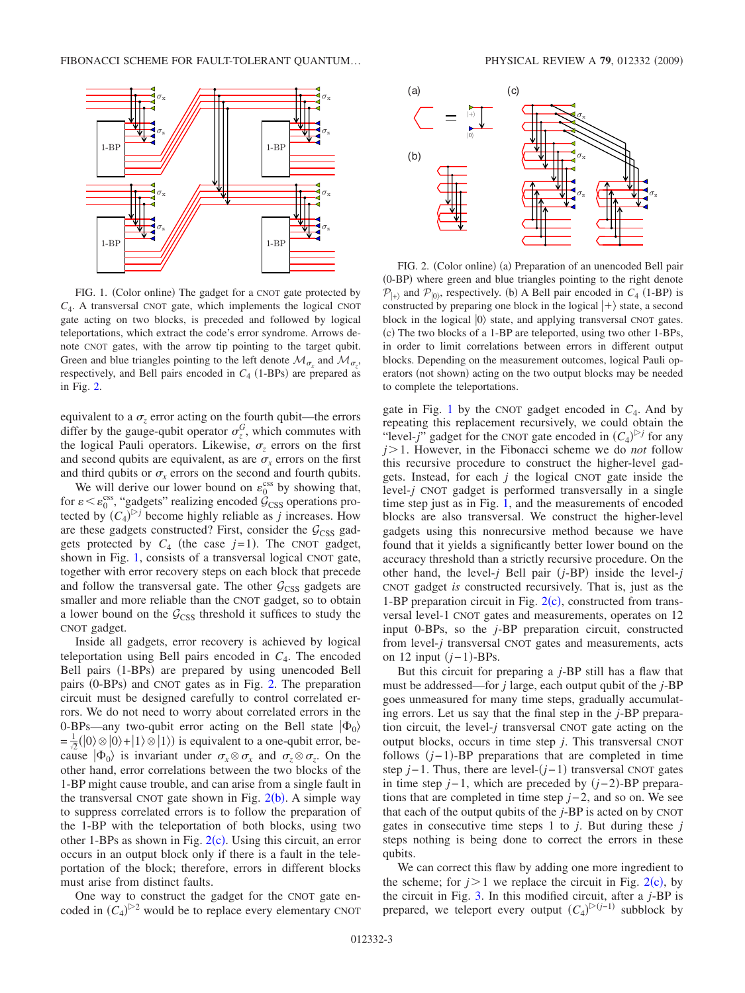<span id="page-2-0"></span>

FIG. 1. (Color online) The gadget for a CNOT gate protected by *C*4. A transversal CNOT gate, which implements the logical CNOT gate acting on two blocks, is preceded and followed by logical teleportations, which extract the code's error syndrome. Arrows denote CNOT gates, with the arrow tip pointing to the target qubit. Green and blue triangles pointing to the left denote  $\mathcal{M}_{\sigma_x}$  and  $\mathcal{M}_{\sigma_z}$ , respectively, and Bell pairs encoded in  $C_4$  (1-BPs) are prepared as in Fig. [2.](#page-2-1)

equivalent to a  $\sigma_z$  error acting on the fourth qubit—the errors differ by the gauge-qubit operator  $\sigma_z^G$ , which commutes with the logical Pauli operators. Likewise,  $\sigma$ <sub>z</sub> errors on the first and second qubits are equivalent, as are  $\sigma_x$  errors on the first and third qubits or  $\sigma_r$  errors on the second and fourth qubits.

We will derive our lower bound on  $\varepsilon_0^{\text{css}}$  by showing that, for  $\varepsilon < \varepsilon_0^{\text{css}}$ , "gadgets" realizing encoded  $\mathcal{G}_{\text{CSS}}$  operations protected by  $(C_4)^{\triangleright j}$  become highly reliable as *j* increases. How are these gadgets constructed? First, consider the  $G<sub>CSS</sub>$  gadgets protected by  $C_4$  (the case  $j=1$ ). The CNOT gadget, shown in Fig. [1,](#page-2-0) consists of a transversal logical CNOT gate, together with error recovery steps on each block that precede and follow the transversal gate. The other  $G<sub>CSS</sub>$  gadgets are smaller and more reliable than the CNOT gadget, so to obtain a lower bound on the  $G<sub>CSS</sub>$  threshold it suffices to study the CNOT gadget.

Inside all gadgets, error recovery is achieved by logical teleportation using Bell pairs encoded in *C*4. The encoded Bell pairs (1-BPs) are prepared by using unencoded Bell pairs (0-BPs) and CNOT gates as in Fig. [2.](#page-2-1) The preparation circuit must be designed carefully to control correlated errors. We do not need to worry about correlated errors in the 0-BPs—any two-qubit error acting on the Bell state  $|\Phi_0\rangle$  $= \frac{1}{\sqrt{2}}(|0\rangle \otimes |0\rangle + |1\rangle \otimes |1\rangle)$  is equivalent to a one-qubit error, because  $|\Phi_0\rangle$  is invariant under  $\sigma_x \otimes \sigma_x$  and  $\sigma_z \otimes \sigma_z$ . On the other hand, error correlations between the two blocks of the 1-BP might cause trouble, and can arise from a single fault in the transversal CNOT gate shown in Fig.  $2(b)$  $2(b)$ . A simple way to suppress correlated errors is to follow the preparation of the 1-BP with the teleportation of both blocks, using two other 1-BPs as shown in Fig.  $2(c)$  $2(c)$ . Using this circuit, an error occurs in an output block only if there is a fault in the teleportation of the block; therefore, errors in different blocks must arise from distinct faults.

One way to construct the gadget for the CNOT gate encoded in  $(C_4)^{\triangleright 2}$  would be to replace every elementary CNOT

<span id="page-2-1"></span>

FIG. 2. (Color online) (a) Preparation of an unencoded Bell pair (0-BP) where green and blue triangles pointing to the right denote  $\mathcal{P}_{\vert + \rangle}$  and  $\mathcal{P}_{\vert 0 \rangle}$ , respectively. (b) A Bell pair encoded in *C*<sub>4</sub> (1-BP) is constructed by preparing one block in the logical  $|+\rangle$  state, a second block in the logical  $|0\rangle$  state, and applying transversal CNOT gates. (c) The two blocks of a 1-BP are teleported, using two other 1-BPs, in order to limit correlations between errors in different output blocks. Depending on the measurement outcomes, logical Pauli operators (not shown) acting on the two output blocks may be needed to complete the teleportations.

gate in Fig. [1](#page-2-0) by the CNOT gadget encoded in  $C_4$ . And by repeating this replacement recursively, we could obtain the "level-*j*" gadget for the CNOT gate encoded in  $(C_4)^{D}$  for any *j* 1. However, in the Fibonacci scheme we do *not* follow this recursive procedure to construct the higher-level gadgets. Instead, for each *j* the logical CNOT gate inside the level-*j* CNOT gadget is performed transversally in a single time step just as in Fig. [1,](#page-2-0) and the measurements of encoded blocks are also transversal. We construct the higher-level gadgets using this nonrecursive method because we have found that it yields a significantly better lower bound on the accuracy threshold than a strictly recursive procedure. On the other hand, the level- $j$  Bell pair  $(j-BP)$  inside the level- $j$ CNOT gadget *is* constructed recursively. That is, just as the 1-BP preparation circuit in Fig.  $2(c)$  $2(c)$ , constructed from transversal level-1 CNOT gates and measurements, operates on 12 input 0-BPs, so the *j*-BP preparation circuit, constructed from level-*j* transversal CNOT gates and measurements, acts on 12 input (*j*-1)-BPs.

But this circuit for preparing a *j*-BP still has a flaw that must be addressed—for *j* large, each output qubit of the *j*-BP goes unmeasured for many time steps, gradually accumulating errors. Let us say that the final step in the *j*-BP preparation circuit, the level-*j* transversal CNOT gate acting on the output blocks, occurs in time step *j*. This transversal CNOT follows  $(j-1)$ -BP preparations that are completed in time step *j*−1. Thus, there are level-(*j*−1) transversal CNOT gates in time step *j*−1, which are preceded by (*j*−2)-BP preparations that are completed in time step *j*−2, and so on. We see that each of the output qubits of the *j*-BP is acted on by CNOT gates in consecutive time steps 1 to *j*. But during these *j* steps nothing is being done to correct the errors in these qubits.

We can correct this flaw by adding one more ingredient to the scheme; for  $j > 1$  we replace the circuit in Fig. [2](#page-2-1)(c), by the circuit in Fig. [3.](#page-3-1) In this modified circuit, after a *j*-BP is prepared, we teleport every output  $(C_4)^{\triangleright (j-1)}$  subblock by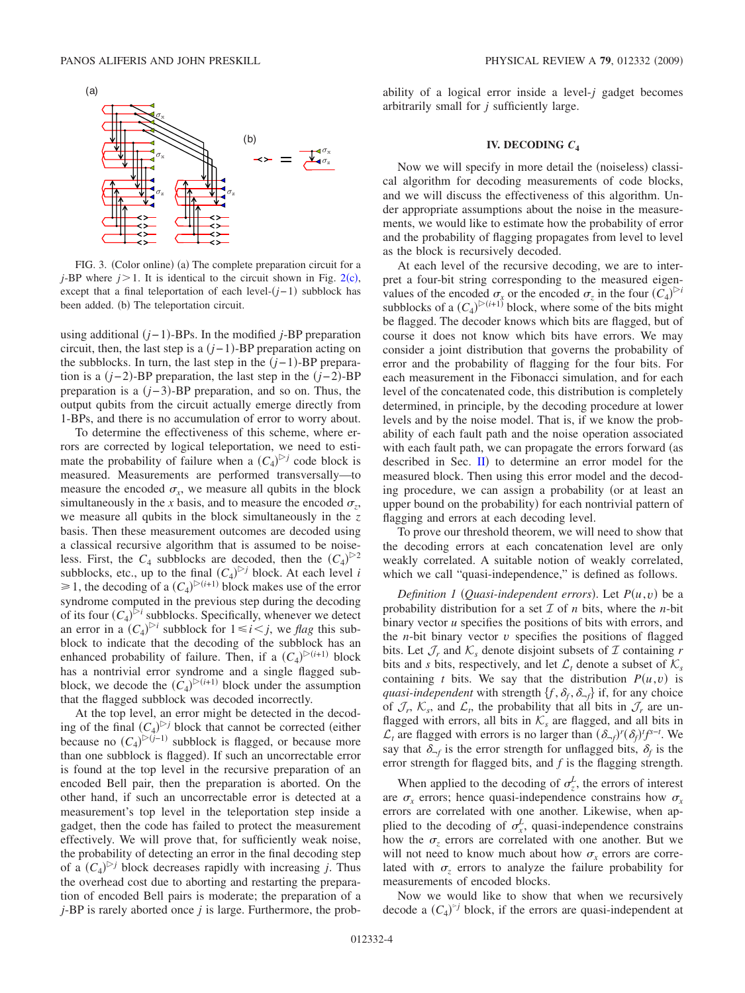<span id="page-3-1"></span>

FIG. 3. (Color online) (a) The complete preparation circuit for a *j*-BP where  $j > 1$ . It is identical to the circuit shown in Fig. [2](#page-2-1)(c), except that a final teleportation of each level- $(j-1)$  subblock has been added. (b) The teleportation circuit.

using additional *j*−1--BPs. In the modified *j*-BP preparation circuit, then, the last step is a  $(j-1)$ -BP preparation acting on the subblocks. In turn, the last step in the  $(j-1)$ -BP preparation is a (*j*−2)-BP preparation, the last step in the (*j*−2)-BP preparation is a (*j*−3)-BP preparation, and so on. Thus, the output qubits from the circuit actually emerge directly from 1-BPs, and there is no accumulation of error to worry about.

To determine the effectiveness of this scheme, where errors are corrected by logical teleportation, we need to estimate the probability of failure when a  $(C_4)^{c}$  code block is measured. Measurements are performed transversally—to measure the encoded  $\sigma_r$ , we measure all qubits in the block simultaneously in the *x* basis, and to measure the encoded  $\sigma_z$ , we measure all qubits in the block simultaneously in the *z* basis. Then these measurement outcomes are decoded using a classical recursive algorithm that is assumed to be noiseless. First, the  $C_4$  subblocks are decoded, then the  $(C_4)^{\geq 2}$ subblocks, etc., up to the final  $(C_4)^{b}$  block. At each level *i*  $\geq 1$ , the decoding of a  $(C_4)^{D(i+1)}$  block makes use of the error syndrome computed in the previous step during the decoding of its four  $(C_4)^{b}$  subblocks. Specifically, whenever we detect an error in a  $(C_4)^{\triangleright i}$  subblock for  $1 \le i \le j$ , we *flag* this subblock to indicate that the decoding of the subblock has an enhanced probability of failure. Then, if a  $(C_4)^{(\varepsilon+1)}$  block has a nontrivial error syndrome and a single flagged subblock, we decode the  $(C_4)^{D(i+1)}$  block under the assumption that the flagged subblock was decoded incorrectly.

At the top level, an error might be detected in the decoding of the final  $(C_4)^{b}$  block that cannot be corrected (either because no  $(C_4)^{\triangleright (j-1)}$  subblock is flagged, or because more than one subblock is flagged). If such an uncorrectable error is found at the top level in the recursive preparation of an encoded Bell pair, then the preparation is aborted. On the other hand, if such an uncorrectable error is detected at a measurement's top level in the teleportation step inside a gadget, then the code has failed to protect the measurement effectively. We will prove that, for sufficiently weak noise, the probability of detecting an error in the final decoding step of a  $(C_4)^{b}$  block decreases rapidly with increasing *j*. Thus the overhead cost due to aborting and restarting the preparation of encoded Bell pairs is moderate; the preparation of a *j*-BP is rarely aborted once *j* is large. Furthermore, the probability of a logical error inside a level-*j* gadget becomes arbitrarily small for *j* sufficiently large.

## **IV. DECODING** *C***<sup>4</sup>**

<span id="page-3-0"></span>Now we will specify in more detail the (noiseless) classical algorithm for decoding measurements of code blocks, and we will discuss the effectiveness of this algorithm. Under appropriate assumptions about the noise in the measurements, we would like to estimate how the probability of error and the probability of flagging propagates from level to level as the block is recursively decoded.

At each level of the recursive decoding, we are to interpret a four-bit string corresponding to the measured eigenvalues of the encoded  $\sigma_x$  or the encoded  $\sigma_z$  in the four  $(C_4)^{>i}$ subblocks of a  $(C_4)^{(\geq (i+1))}$  block, where some of the bits might be flagged. The decoder knows which bits are flagged, but of course it does not know which bits have errors. We may consider a joint distribution that governs the probability of error and the probability of flagging for the four bits. For each measurement in the Fibonacci simulation, and for each level of the concatenated code, this distribution is completely determined, in principle, by the decoding procedure at lower levels and by the noise model. That is, if we know the probability of each fault path and the noise operation associated with each fault path, we can propagate the errors forward (as described in Sec.  $\Pi$ ) to determine an error model for the measured block. Then using this error model and the decoding procedure, we can assign a probability (or at least an upper bound on the probability) for each nontrivial pattern of flagging and errors at each decoding level.

To prove our threshold theorem, we will need to show that the decoding errors at each concatenation level are only weakly correlated. A suitable notion of weakly correlated, which we call "quasi-independence," is defined as follows.

*Definition 1* (*Quasi-independent errors*). Let  $P(u, v)$  be a probability distribution for a set  $\mathcal I$  of  $n$  bits, where the  $n$ -bit binary vector *u* specifies the positions of bits with errors, and the  $n$ -bit binary vector  $v$  specifies the positions of flagged bits. Let  $\mathcal{J}_r$  and  $\mathcal{K}_s$  denote disjoint subsets of  $\mathcal I$  containing  $r$ bits and *s* bits, respectively, and let  $\mathcal{L}_t$  denote a subset of  $\mathcal{K}_s$ containing *t* bits. We say that the distribution  $P(u, v)$  is *quasi-independent* with strength  $\{f, \delta_f, \delta_{-f}\}$  if, for any choice of  $\mathcal{J}_r$ ,  $\mathcal{K}_s$ , and  $\mathcal{L}_t$ , the probability that all bits in  $\mathcal{J}_r$  are unflagged with errors, all bits in  $K_s$  are flagged, and all bits in  $\mathcal{L}_t$  are flagged with errors is no larger than  $(\delta_{-f})^r (\delta_f)^t f^{s-t}$ . We say that  $\delta_{-f}$  is the error strength for unflagged bits,  $\delta_f$  is the error strength for flagged bits, and *f* is the flagging strength.

When applied to the decoding of  $\sigma_z^L$ , the errors of interest are  $\sigma_x$  errors; hence quasi-independence constrains how  $\sigma_x$ errors are correlated with one another. Likewise, when applied to the decoding of  $\sigma_x^L$ , quasi-independence constrains how the  $\sigma$ <sub>z</sub> errors are correlated with one another. But we will not need to know much about how  $\sigma_r$  errors are correlated with  $\sigma_z$  errors to analyze the failure probability for measurements of encoded blocks.

Now we would like to show that when we recursively decode a  $(C_4)^{5}$  block, if the errors are quasi-independent at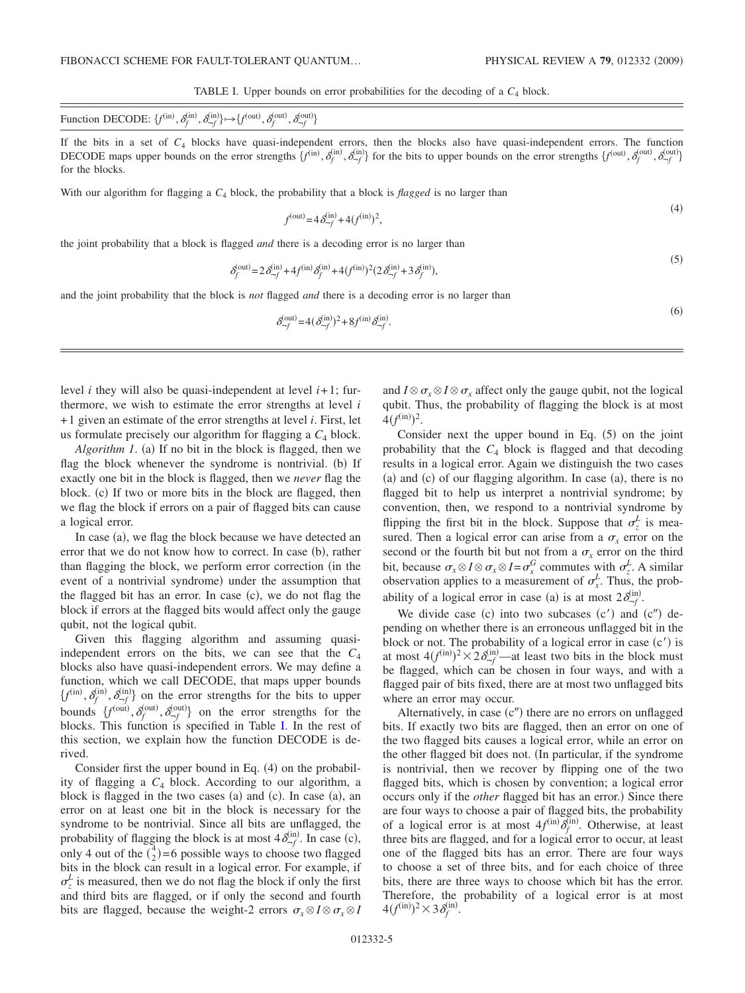$(4)$ 

TABLE I. Upper bounds on error probabilities for the decoding of a  $C_4$  block.

<span id="page-4-0"></span>

| Function DECODE: $\{f^{(in)}, \delta_f^{(in)}, \delta_{-f}^{(in)}\} \mapsto \{f^{(out)}, \delta_f^{(out)}, \delta_f^{(out)}\}$<br>$,\delta_{\rightarrow f}^{(\text{out})}\}$ |  |
|------------------------------------------------------------------------------------------------------------------------------------------------------------------------------|--|
|------------------------------------------------------------------------------------------------------------------------------------------------------------------------------|--|

If the bits in a set of *C*<sup>4</sup> blocks have quasi-independent errors, then the blocks also have quasi-independent errors. The function DECODE maps upper bounds on the error strengths  $\{f^{(in)}, \delta_f^{(in)}, \delta_{-f}^{(in)}\}$  for the bits to upper bounds on the error strengths  $\{f^{(out)}, \delta_f^{(out)}, \delta_{-f}^{(out)}\}$ for the blocks.

With our algorithm for flagging a  $C_4$  block, the probability that a block is *flagged* is no larger than

*f*

$$
f^{(out)} = 4 \delta_{-f}^{(in)} + 4(f^{(in)})^2,
$$

the joint probability that a block is flagged *and* there is a decoding error is no larger than

$$
\delta_f^{(\text{out})} = 2\delta_{-f}^{(\text{in})} + 4f^{(\text{in})}\delta_f^{(\text{in})} + 4(f^{(\text{in})})^2(2\delta_{-f}^{(\text{in})} + 3\delta_f^{(\text{in})}),\tag{5}
$$

and the joint probability that the block is *not* flagged *and* there is a decoding error is no larger than

$$
\delta_{-f}^{(out)} = 4(\delta_{-f}^{(in)})^2 + 8f^{(in)}\delta_{-f}^{(in)}.
$$
\n(6)

level *i* they will also be quasi-independent at level  $i+1$ ; furthermore, we wish to estimate the error strengths at level *i* +1 given an estimate of the error strengths at level *i*. First, let us formulate precisely our algorithm for flagging a  $C_4$  block.

Algorithm 1. (a) If no bit in the block is flagged, then we flag the block whenever the syndrome is nontrivial. (b) If exactly one bit in the block is flagged, then we *never* flag the block. (c) If two or more bits in the block are flagged, then we flag the block if errors on a pair of flagged bits can cause a logical error.

In case (a), we flag the block because we have detected an error that we do not know how to correct. In case (b), rather than flagging the block, we perform error correction (in the event of a nontrivial syndrome) under the assumption that the flagged bit has an error. In case (c), we do not flag the block if errors at the flagged bits would affect only the gauge qubit, not the logical qubit.

Given this flagging algorithm and assuming quasiindependent errors on the bits, we can see that the  $C_4$ blocks also have quasi-independent errors. We may define a function, which we call DECODE, that maps upper bounds  $\{f^{(in)}, \delta_f^{(in)}, \delta_{-f}^{(in)}\}$  on the error strengths for the bits to upper bounds  $\{f^{(\text{out})}, \delta_f^{(\text{out})}, \delta_{-f}^{(\text{out})}\}$  on the error strengths for the blocks. This function is specified in Table [I.](#page-4-0) In the rest of this section, we explain how the function DECODE is derived.

Consider first the upper bound in Eq.  $(4)$  on the probability of flagging a *C*<sup>4</sup> block. According to our algorithm, a block is flagged in the two cases (a) and (c). In case (a), an error on at least one bit in the block is necessary for the syndrome to be nontrivial. Since all bits are unflagged, the probability of flagging the block is at most  $4\delta_{-f}^{(in)}$ . In case (c), only 4 out of the  $\binom{4}{2}$ =6 possible ways to choose two flagged bits in the block can result in a logical error. For example, if  $\sigma_z^L$  is measured, then we do not flag the block if only the first and third bits are flagged, or if only the second and fourth bits are flagged, because the weight-2 errors  $\sigma_x \otimes I \otimes \sigma_x \otimes I$ 

and  $I \otimes \sigma_x \otimes I \otimes \sigma_x$  affect only the gauge qubit, not the logical qubit. Thus, the probability of flagging the block is at most  $4(f^{(\text{in})})^2$ .

Consider next the upper bound in Eq.  $(5)$  on the joint probability that the  $C_4$  block is flagged and that decoding results in a logical error. Again we distinguish the two cases (a) and (c) of our flagging algorithm. In case (a), there is no flagged bit to help us interpret a nontrivial syndrome; by convention, then, we respond to a nontrivial syndrome by flipping the first bit in the block. Suppose that  $\sigma_z^L$  is measured. Then a logical error can arise from a  $\sigma_x$  error on the second or the fourth bit but not from a  $\sigma_x$  error on the third bit, because  $\sigma_x \otimes I \otimes \sigma_x \otimes I = \sigma_x^G$  commutes with  $\sigma_z^L$ . A similar observation applies to a measurement of  $\sigma_x^L$ . Thus, the probability of a logical error in case (a) is at most  $2\delta_{-f}^{(in)}$ .

We divide case (c) into two subcases  $(c')$  and  $(c'')$  depending on whether there is an erroneous unflagged bit in the block or not. The probability of a logical error in case (c') is at most  $4(f^{(in)})^2 \times 2\delta^{(in)}_{-f}$ —at least two bits in the block must be flagged, which can be chosen in four ways, and with a flagged pair of bits fixed, there are at most two unflagged bits where an error may occur.

Alternatively, in case  $(c<sup>n</sup>)$  there are no errors on unflagged bits. If exactly two bits are flagged, then an error on one of the two flagged bits causes a logical error, while an error on the other flagged bit does not. In particular, if the syndrome is nontrivial, then we recover by flipping one of the two flagged bits, which is chosen by convention; a logical error occurs only if the *other* flagged bit has an error.) Since there are four ways to choose a pair of flagged bits, the probability of a logical error is at most  $4f^{(in)}\overline{\delta}_f^{(in)}$ . Otherwise, at least three bits are flagged, and for a logical error to occur, at least one of the flagged bits has an error. There are four ways to choose a set of three bits, and for each choice of three bits, there are three ways to choose which bit has the error. Therefore, the probability of a logical error is at most  $4(f^{(\text{in})})^2 \times 3 \delta_f^{(\text{in})}$ .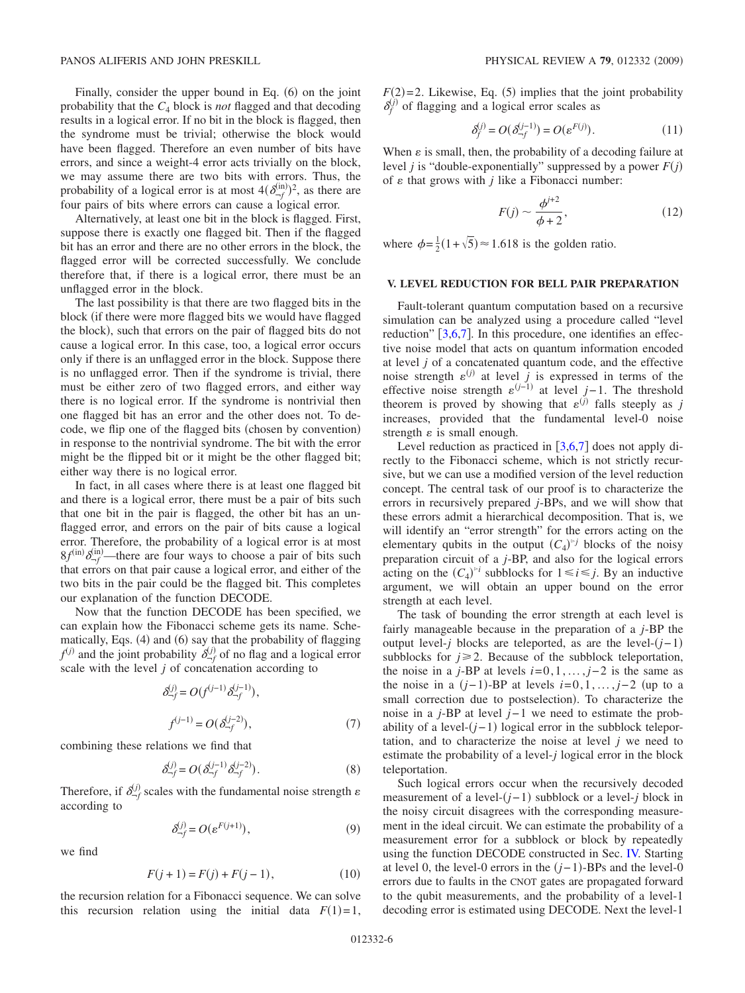Finally, consider the upper bound in Eq. (6) on the joint probability that the *C*<sup>4</sup> block is *not* flagged and that decoding results in a logical error. If no bit in the block is flagged, then the syndrome must be trivial; otherwise the block would have been flagged. Therefore an even number of bits have errors, and since a weight-4 error acts trivially on the block, we may assume there are two bits with errors. Thus, the probability of a logical error is at most  $4(\delta_{-f}^{(in)})^2$ , as there are four pairs of bits where errors can cause a logical error.

Alternatively, at least one bit in the block is flagged. First, suppose there is exactly one flagged bit. Then if the flagged bit has an error and there are no other errors in the block, the flagged error will be corrected successfully. We conclude therefore that, if there is a logical error, there must be an unflagged error in the block.

The last possibility is that there are two flagged bits in the block if there were more flagged bits we would have flagged the block), such that errors on the pair of flagged bits do not cause a logical error. In this case, too, a logical error occurs only if there is an unflagged error in the block. Suppose there is no unflagged error. Then if the syndrome is trivial, there must be either zero of two flagged errors, and either way there is no logical error. If the syndrome is nontrivial then one flagged bit has an error and the other does not. To decode, we flip one of the flagged bits (chosen by convention) in response to the nontrivial syndrome. The bit with the error might be the flipped bit or it might be the other flagged bit; either way there is no logical error.

In fact, in all cases where there is at least one flagged bit and there is a logical error, there must be a pair of bits such that one bit in the pair is flagged, the other bit has an unflagged error, and errors on the pair of bits cause a logical error. Therefore, the probability of a logical error is at most  $8f^{(in)}\delta_f^{(in)}$ —there are four ways to choose a pair of bits such that errors on that pair cause a logical error, and either of the two bits in the pair could be the flagged bit. This completes our explanation of the function DECODE.

Now that the function DECODE has been specified, we can explain how the Fibonacci scheme gets its name. Schematically, Eqs. (4) and (6) say that the probability of flagging  $f^{(j)}$  and the joint probability  $\delta^{(j)}_{-f}$  of no flag and a logical error scale with the level *j* of concatenation according to

$$
\delta_{-f}^{(j)} = O(f^{(j-1)} \delta_{-f}^{(j-1)}),
$$
  

$$
f^{(j-1)} = O(\delta_{-f}^{(j-2)}),
$$
 (7)

<span id="page-5-2"></span>combining these relations we find that

$$
\delta_{-f}^{(j)} = O(\delta_{-f}^{(j-1)} \delta_{-f}^{(j-2)}).
$$
 (8)

Therefore, if  $\delta_{\neg f}^{(j)}$  scales with the fundamental noise strength  $\varepsilon$ according to

$$
\delta_{\neg f}^{(j)} = O(\varepsilon^{F(j+1)}),\tag{9}
$$

<span id="page-5-3"></span>we find

$$
F(j + 1) = F(j) + F(j - 1),
$$
\n(10)

the recursion relation for a Fibonacci sequence. We can solve this recursion relation using the initial data  $F(1)=1$ ,

 $F(2)=2$ . Likewise, Eq. (5) implies that the joint probability  $\delta_f^{(j)}$  of flagging and a logical error scales as

$$
\delta_f^{(j)} = O(\delta_{-f}^{(j-1)}) = O(\varepsilon^{F(j)}).
$$
\n(11)

<span id="page-5-1"></span>When  $\varepsilon$  is small, then, the probability of a decoding failure at level *j* is "double-exponentially" suppressed by a power *Fj* of  $\varepsilon$  that grows with  $j$  like a Fibonacci number:

$$
F(j) \sim \frac{\phi^{j+2}}{\phi + 2},\tag{12}
$$

where  $\phi = \frac{1}{2}(1 + \sqrt{5}) \approx 1.618$  is the golden ratio.

# **V. LEVEL REDUCTION FOR BELL PAIR PREPARATION**

<span id="page-5-0"></span>Fault-tolerant quantum computation based on a recursive simulation can be analyzed using a procedure called "level reduction"  $[3,6,7]$  $[3,6,7]$  $[3,6,7]$  $[3,6,7]$  $[3,6,7]$ . In this procedure, one identifies an effective noise model that acts on quantum information encoded at level *j* of a concatenated quantum code, and the effective noise strength  $\varepsilon^{(j)}$  at level *j* is expressed in terms of the effective noise strength  $\varepsilon^{(j-1)}$  at level *j*−1. The threshold theorem is proved by showing that  $\varepsilon^{(j)}$  falls steeply as *j* increases, provided that the fundamental level-0 noise strength  $\varepsilon$  is small enough.

Level reduction as practiced in  $\left[3,6,7\right]$  $\left[3,6,7\right]$  $\left[3,6,7\right]$  $\left[3,6,7\right]$  $\left[3,6,7\right]$  does not apply directly to the Fibonacci scheme, which is not strictly recursive, but we can use a modified version of the level reduction concept. The central task of our proof is to characterize the errors in recursively prepared *j*-BPs, and we will show that these errors admit a hierarchical decomposition. That is, we will identify an "error strength" for the errors acting on the elementary qubits in the output  $(C_4)^{5}$  blocks of the noisy preparation circuit of a *j*-BP, and also for the logical errors acting on the  $(C_4)^{\geq i}$  subblocks for  $1 \leq i \leq j$ . By an inductive argument, we will obtain an upper bound on the error strength at each level.

The task of bounding the error strength at each level is fairly manageable because in the preparation of a *j*-BP the output level-*j* blocks are teleported, as are the level-*j*−1 subblocks for  $j \geq 2$ . Because of the subblock teleportation, the noise in a *j*-BP at levels  $i=0,1,\ldots,j-2$  is the same as the noise in a  $(j-1)$ -BP at levels  $i=0,1,\ldots,j-2$  (up to a small correction due to postselection). To characterize the noise in a *j*-BP at level *j*−1 we need to estimate the probability of a level-(*j*-1) logical error in the subblock teleportation, and to characterize the noise at level *j* we need to estimate the probability of a level-*j* logical error in the block teleportation.

Such logical errors occur when the recursively decoded measurement of a level-(*j*−1) subblock or a level-*j* block in the noisy circuit disagrees with the corresponding measurement in the ideal circuit. We can estimate the probability of a measurement error for a subblock or block by repeatedly using the function DECODE constructed in Sec. [IV.](#page-3-0) Starting at level 0, the level-0 errors in the  $(j-1)$ -BPs and the level-0 errors due to faults in the CNOT gates are propagated forward to the qubit measurements, and the probability of a level-1 decoding error is estimated using DECODE. Next the level-1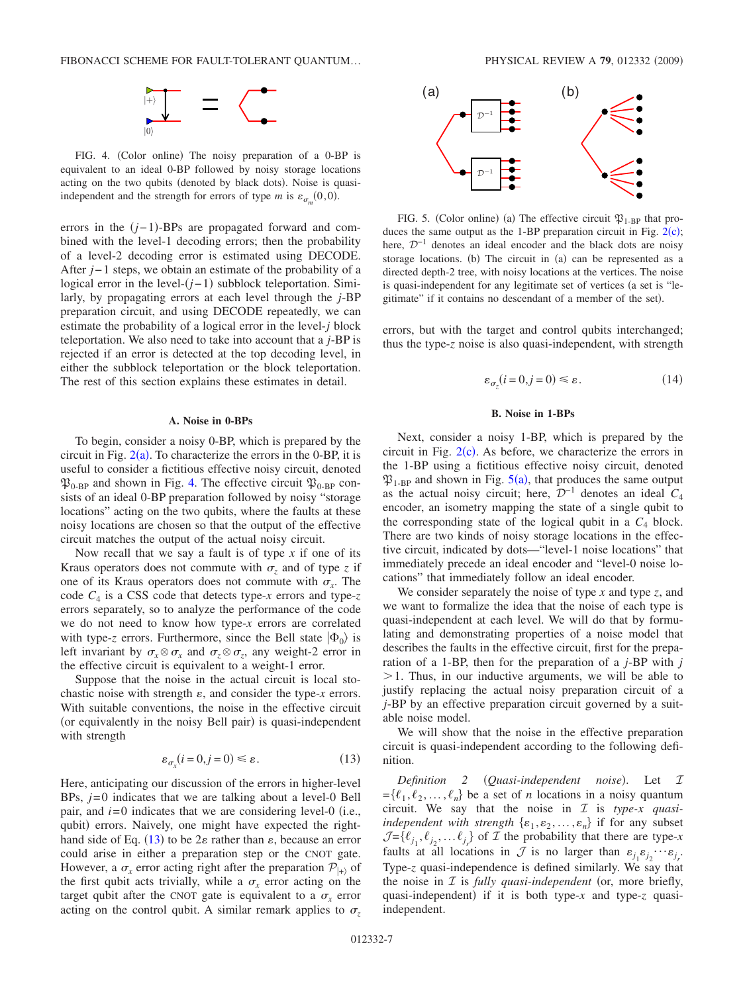

<span id="page-6-0"></span>FIG. 4. (Color online) The noisy preparation of a 0-BP is equivalent to an ideal 0-BP followed by noisy storage locations acting on the two qubits (denoted by black dots). Noise is quasiindependent and the strength for errors of type *m* is  $\varepsilon_{\sigma_m}(0,0)$ .

errors in the  $(j-1)$ -BPs are propagated forward and combined with the level-1 decoding errors; then the probability of a level-2 decoding error is estimated using DECODE. After *j*−1 steps, we obtain an estimate of the probability of a logical error in the level-(*j*−1) subblock teleportation. Similarly, by propagating errors at each level through the *j*-BP preparation circuit, and using DECODE repeatedly, we can estimate the probability of a logical error in the level-*j* block teleportation. We also need to take into account that a *j*-BP is rejected if an error is detected at the top decoding level, in either the subblock teleportation or the block teleportation. The rest of this section explains these estimates in detail.

## **A. Noise in 0-BPs**

<span id="page-6-3"></span>To begin, consider a noisy 0-BP, which is prepared by the circuit in Fig.  $2(a)$  $2(a)$ . To characterize the errors in the 0-BP, it is useful to consider a fictitious effective noisy circuit, denoted  $\mathfrak{P}_{0-BP}$  and shown in Fig. [4.](#page-6-0) The effective circuit  $\mathfrak{P}_{0-BP}$  consists of an ideal 0-BP preparation followed by noisy "storage locations" acting on the two qubits, where the faults at these noisy locations are chosen so that the output of the effective circuit matches the output of the actual noisy circuit.

Now recall that we say a fault is of type *x* if one of its Kraus operators does not commute with  $\sigma_z$  and of type *z* if one of its Kraus operators does not commute with  $\sigma_x$ . The code *C*<sup>4</sup> is a CSS code that detects type-*x* errors and type-*z* errors separately, so to analyze the performance of the code we do not need to know how type-*x* errors are correlated with type-*z* errors. Furthermore, since the Bell state  $|\Phi_0\rangle$  is left invariant by  $\sigma_x \otimes \sigma_x$  and  $\sigma_z \otimes \sigma_z$ , any weight-2 error in the effective circuit is equivalent to a weight-1 error.

Suppose that the noise in the actual circuit is local stochastic noise with strength  $\varepsilon$ , and consider the type- $x$  errors. With suitable conventions, the noise in the effective circuit (or equivalently in the noisy Bell pair) is quasi-independent with strength

$$
\varepsilon_{\sigma_x}(i=0,j=0) \le \varepsilon. \tag{13}
$$

<span id="page-6-1"></span>Here, anticipating our discussion of the errors in higher-level BPs, *j*=0 indicates that we are talking about a level-0 Bell pair, and  $i=0$  indicates that we are considering level-0 (i.e., qubit) errors. Naively, one might have expected the right-hand side of Eq. ([13](#page-6-1)) to be  $2\varepsilon$  rather than  $\varepsilon$ , because an error could arise in either a preparation step or the CNOT gate. However, a  $\sigma_x$  error acting right after the preparation  $\mathcal{P}_{\vert + \rangle}$  of the first qubit acts trivially, while a  $\sigma_x$  error acting on the target qubit after the CNOT gate is equivalent to a  $\sigma_r$  error acting on the control qubit. A similar remark applies to  $\sigma_z$ 

<span id="page-6-2"></span>

FIG. 5. (Color online) (a) The effective circuit  $\mathfrak{P}_{1-BP}$  that produces the same output as the  $1$ -BP preparation circuit in Fig.  $2(c)$  $2(c)$ ; here,  $\mathcal{D}^{-1}$  denotes an ideal encoder and the black dots are noisy storage locations. (b) The circuit in (a) can be represented as a directed depth-2 tree, with noisy locations at the vertices. The noise is quasi-independent for any legitimate set of vertices (a set is "legitimate" if it contains no descendant of a member of the set).

errors, but with the target and control qubits interchanged; thus the type-*z* noise is also quasi-independent, with strength

$$
\varepsilon_{\sigma_z}(i=0,j=0) \le \varepsilon. \tag{14}
$$

#### **B. Noise in 1-BPs**

<span id="page-6-4"></span>Next, consider a noisy 1-BP, which is prepared by the circuit in Fig.  $2(c)$  $2(c)$ . As before, we characterize the errors in the 1-BP using a fictitious effective noisy circuit, denoted  $\mathfrak{P}_{1-BP}$  and shown in Fig.  $5(a)$  $5(a)$ , that produces the same output as the actual noisy circuit; here,  $\mathcal{D}^{-1}$  denotes an ideal  $C_4$ encoder, an isometry mapping the state of a single qubit to the corresponding state of the logical qubit in a  $C_4$  block. There are two kinds of noisy storage locations in the effective circuit, indicated by dots—"level-1 noise locations" that immediately precede an ideal encoder and "level-0 noise locations" that immediately follow an ideal encoder.

We consider separately the noise of type *x* and type *z*, and we want to formalize the idea that the noise of each type is quasi-independent at each level. We will do that by formulating and demonstrating properties of a noise model that describes the faults in the effective circuit, first for the preparation of a 1-BP, then for the preparation of a *j*-BP with *j*  $>1$ . Thus, in our inductive arguments, we will be able to justify replacing the actual noisy preparation circuit of a *j*-BP by an effective preparation circuit governed by a suitable noise model.

We will show that the noise in the effective preparation circuit is quasi-independent according to the following definition.

*Definition 2 (Quasi-independent noise)*. Let *1*  $=\{\ell_1, \ell_2, \ldots, \ell_n\}$  be a set of *n* locations in a noisy quantum circuit. We say that the noise in I is *type-x quasiindependent with strength*  $\{\varepsilon_1, \varepsilon_2, ..., \varepsilon_n\}$  if for any subset  $\mathcal{J} = \{\ell_{j_1}, \ell_{j_2}, \dots \ell_{j_r}\}\$  of  $\mathcal{I}$  the probability that there are type-*x* faults at all locations in  $\mathcal{J}$  is no larger than  $\varepsilon_{j_1}\varepsilon_{j_2}\cdots\varepsilon_{j_r}$ . Type-*z* quasi-independence is defined similarly. We say that the noise in  $I$  is *fully quasi-independent* (or, more briefly, quasi-independent) if it is both type-*x* and type-*z* quasiindependent.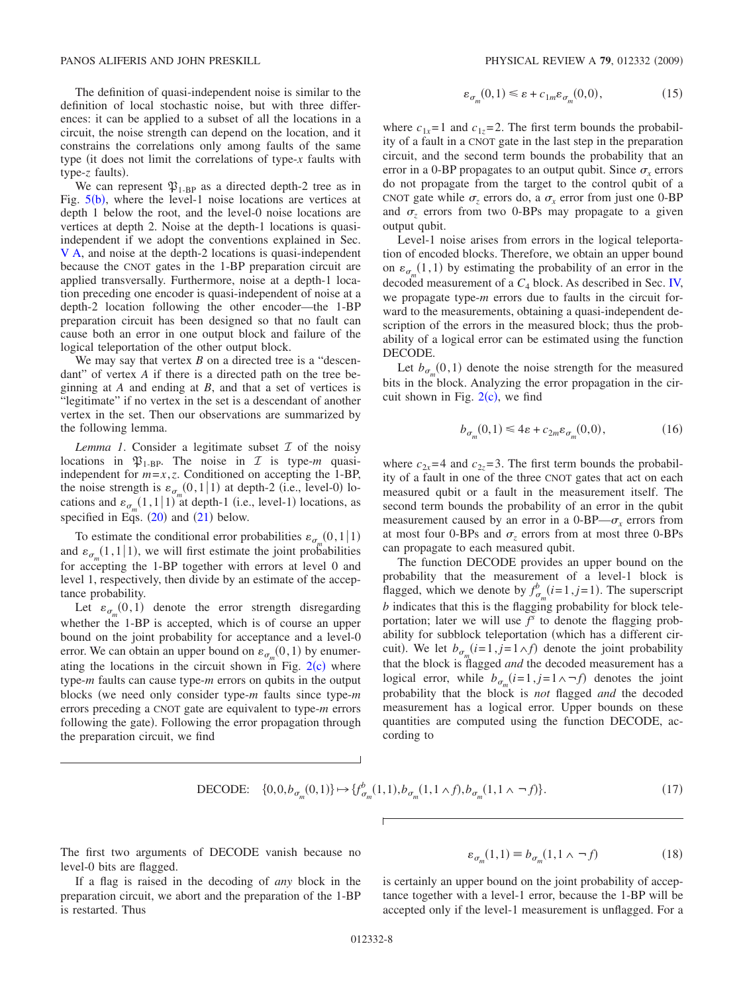The definition of quasi-independent noise is similar to the definition of local stochastic noise, but with three differences: it can be applied to a subset of all the locations in a circuit, the noise strength can depend on the location, and it constrains the correlations only among faults of the same type (it does not limit the correlations of type- $x$  faults with type-z faults).

We can represent  $\mathfrak{P}_{1-BP}$  as a directed depth-2 tree as in Fig.  $5(b)$  $5(b)$ , where the level-1 noise locations are vertices at depth 1 below the root, and the level-0 noise locations are vertices at depth 2. Noise at the depth-1 locations is quasiindependent if we adopt the conventions explained in Sec. [V A,](#page-6-3) and noise at the depth-2 locations is quasi-independent because the CNOT gates in the 1-BP preparation circuit are applied transversally. Furthermore, noise at a depth-1 location preceding one encoder is quasi-independent of noise at a depth-2 location following the other encoder—the 1-BP preparation circuit has been designed so that no fault can cause both an error in one output block and failure of the logical teleportation of the other output block.

We may say that vertex *B* on a directed tree is a "descendant" of vertex *A* if there is a directed path on the tree beginning at *A* and ending at *B*, and that a set of vertices is "legitimate" if no vertex in the set is a descendant of another vertex in the set. Then our observations are summarized by the following lemma.

*Lemma 1.* Consider a legitimate subset  $\mathcal I$  of the noisy locations in  $\mathfrak{P}_{1-\text{BP}}$ . The noise in  $\mathcal I$  is type-*m* quasiindependent for  $m=x, z$ . Conditioned on accepting the 1-BP, the noise strength is  $\varepsilon_{\sigma_m}(0,1|1)$  at depth-2 (i.e., level-0) locations and  $\varepsilon_{\sigma_m}(1,1|1)$  at depth-1 (i.e., level-1) locations, as specified in Eqs.  $(20)$  $(20)$  $(20)$  and  $(21)$  $(21)$  $(21)$  below.

To estimate the conditional error probabilities  $\varepsilon_{\sigma_m^m}(0,1|1)$ and  $\varepsilon_{\sigma_m}(1,1|1)$ , we will first estimate the joint probabilities for accepting the 1-BP together with errors at level 0 and level 1, respectively, then divide by an estimate of the acceptance probability.

Let  $\varepsilon_{\sigma_m}(0,1)$  denote the error strength disregarding whether the 1-BP is accepted, which is of course an upper bound on the joint probability for acceptance and a level-0 error. We can obtain an upper bound on  $\varepsilon_{\sigma_m}(0,1)$  by enumerating the locations in the circuit shown in Fig.  $2(c)$  $2(c)$  where type-*m* faults can cause type-*m* errors on qubits in the output blocks we need only consider type-*m* faults since type-*m* errors preceding a CNOT gate are equivalent to type-*m* errors following the gate). Following the error propagation through the preparation circuit, we find

$$
\varepsilon_{\sigma_m}(0,1) \le \varepsilon + c_{1m}\varepsilon_{\sigma_m}(0,0),\tag{15}
$$

<span id="page-7-0"></span>where  $c_{1x}$ =1 and  $c_{1z}$ =2. The first term bounds the probability of a fault in a CNOT gate in the last step in the preparation circuit, and the second term bounds the probability that an error in a 0-BP propagates to an output qubit. Since  $\sigma_r$  errors do not propagate from the target to the control qubit of a CNOT gate while  $\sigma_z$  errors do, a  $\sigma_x$  error from just one 0-BP and  $\sigma_z$  errors from two 0-BPs may propagate to a given output qubit.

Level-1 noise arises from errors in the logical teleportation of encoded blocks. Therefore, we obtain an upper bound on  $\varepsilon_{\sigma_m}(1,1)$  by estimating the probability of an error in the decoded measurement of a  $C_4$  block. As described in Sec. [IV,](#page-3-0) we propagate type-*m* errors due to faults in the circuit forward to the measurements, obtaining a quasi-independent description of the errors in the measured block; thus the probability of a logical error can be estimated using the function DECODE.

Let  $b_{\sigma_m}(0,1)$  denote the noise strength for the measured bits in the block. Analyzing the error propagation in the circuit shown in Fig.  $2(c)$  $2(c)$ , we find

$$
b_{\sigma_m}(0,1) \leq 4\varepsilon + c_{2m}\varepsilon_{\sigma_m}(0,0),\tag{16}
$$

<span id="page-7-2"></span>where  $c_{2x}$ =4 and  $c_{2z}$ =3. The first term bounds the probability of a fault in one of the three CNOT gates that act on each measured qubit or a fault in the measurement itself. The second term bounds the probability of an error in the qubit measurement caused by an error in a  $0$ -BP— $\sigma_r$  errors from at most four 0-BPs and  $\sigma_z$  errors from at most three 0-BPs can propagate to each measured qubit.

The function DECODE provides an upper bound on the probability that the measurement of a level-1 block is flagged, which we denote by  $f_{\sigma_m}^b(i=1, j=1)$ . The superscript *b* indicates that this is the flagging probability for block teleportation; later we will use  $f<sup>s</sup>$  to denote the flagging probability for subblock teleportation (which has a different circuit). We let  $b_{\sigma_m}(i=1, j=1 \land f)$  denote the joint probability that the block is flagged *and* the decoded measurement has a logical error, while  $b_{\sigma_m}(i=1, j=1 \land \neg f)$  denotes the joint probability that the block is *not* flagged *and* the decoded measurement has a logical error. Upper bounds on these quantities are computed using the function DECODE, according to

DECODE: 
$$
\{0,0,b_{\sigma_m}(0,1)\}\mapsto \{f_{\sigma_m}^b(1,1),b_{\sigma_m}(1,1\wedge f),b_{\sigma_m}(1,1\wedge \neg f)\}.
$$
 (17)

<span id="page-7-3"></span>The first two arguments of DECODE vanish because no level-0 bits are flagged.

If a flag is raised in the decoding of *any* block in the preparation circuit, we abort and the preparation of the 1-BP is restarted. Thus

 $\varepsilon_{\sigma_m}(1,1) \equiv b_{\sigma_m}(1,1 \wedge \neg f)$  $(18)$ 

<span id="page-7-1"></span>is certainly an upper bound on the joint probability of acceptance together with a level-1 error, because the 1-BP will be accepted only if the level-1 measurement is unflagged. For a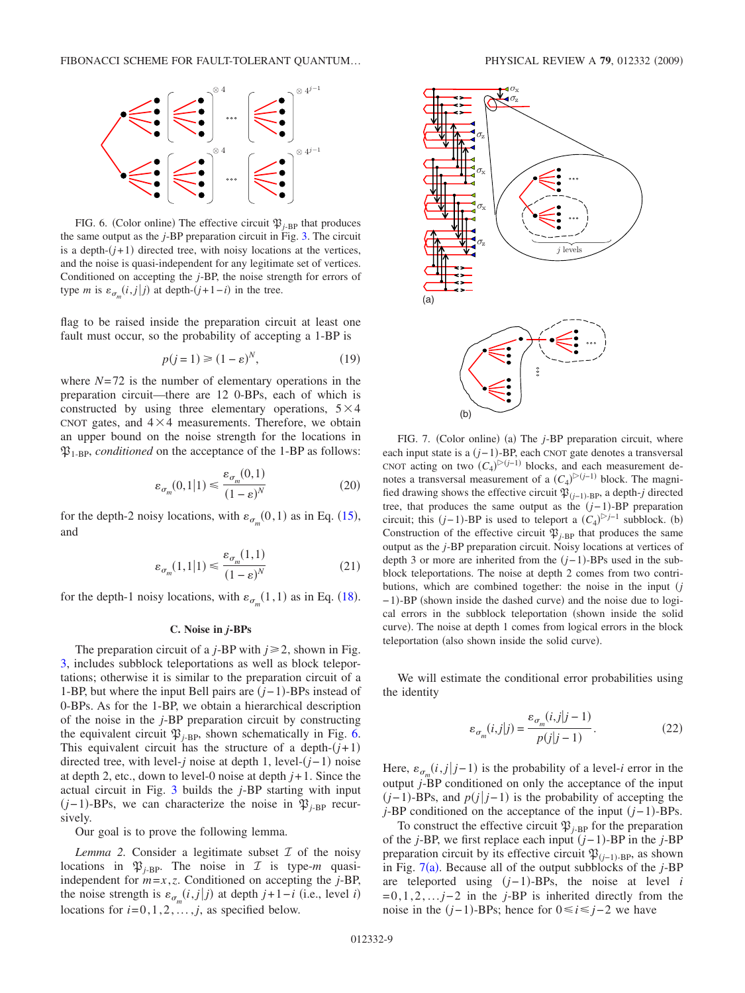<span id="page-8-2"></span>

FIG. 6. (Color online) The effective circuit  $\mathfrak{P}_{j-BP}$  that produces the same output as the *j*-BP preparation circuit in Fig. [3.](#page-3-1) The circuit is a depth- $(j+1)$  directed tree, with noisy locations at the vertices, and the noise is quasi-independent for any legitimate set of vertices. Conditioned on accepting the *j*-BP, the noise strength for errors of type *m* is  $\varepsilon_{\sigma_m}(i,j|j)$  at depth- $(j+1-i)$  in the tree.

flag to be raised inside the preparation circuit at least one fault must occur, so the probability of accepting a 1-BP is

$$
p(j=1) \geq (1 - \varepsilon)^N,\tag{19}
$$

where  $N=72$  is the number of elementary operations in the preparation circuit—there are 12 0-BPs, each of which is constructed by using three elementary operations,  $5 \times 4$ CNOT gates, and  $4 \times 4$  measurements. Therefore, we obtain an upper bound on the noise strength for the locations in  $\mathfrak{P}_{1-BP}$ , *conditioned* on the acceptance of the 1-BP as follows:

$$
\varepsilon_{\sigma_m}(0,1|1) \le \frac{\varepsilon_{\sigma_m}(0,1)}{(1-\varepsilon)^N} \tag{20}
$$

<span id="page-8-0"></span>for the depth-2 noisy locations, with  $\varepsilon_{\sigma_m}(0,1)$  as in Eq. ([15](#page-7-0)), and

$$
\varepsilon_{\sigma_m}(1,1|1) \le \frac{\varepsilon_{\sigma_m}(1,1)}{(1-\varepsilon)^N} \tag{21}
$$

<span id="page-8-1"></span>for the depth-1 noisy locations, with  $\varepsilon_{\sigma_m}(1,1)$  as in Eq. ([18](#page-7-1)).

#### **C. Noise in** *j***-BPs**

The preparation circuit of a *j*-BP with  $j \ge 2$ , shown in Fig. [3,](#page-3-1) includes subblock teleportations as well as block teleportations; otherwise it is similar to the preparation circuit of a 1-BP, but where the input Bell pairs are  $(j-1)$ -BPs instead of 0-BPs. As for the 1-BP, we obtain a hierarchical description of the noise in the *j*-BP preparation circuit by constructing the equivalent circuit  $\mathfrak{P}_{i-BP}$ , shown schematically in Fig. [6.](#page-8-2) This equivalent circuit has the structure of a depth- $(j+1)$ directed tree, with level-*j* noise at depth 1, level-*j*−1- noise at depth 2, etc., down to level-0 noise at depth  $j+1$ . Since the actual circuit in Fig. [3](#page-3-1) builds the *j*-BP starting with input  $(j-1)$ -BPs, we can characterize the noise in  $\mathfrak{P}_{j-\text{BP}}$  recursively.

Our goal is to prove the following lemma.

*Lemma 2.* Consider a legitimate subset  $I$  of the noisy locations in  $\mathfrak{P}_{j-B}$ . The noise in  $\mathcal I$  is type-*m* quasiindependent for *m*=*x*,*z*. Conditioned on accepting the *j*-BP, the noise strength is  $\varepsilon_{\sigma_m}(i,j|j)$  at depth  $j+1-i$  (i.e., level *i*) locations for  $i=0,1,2,\ldots,j$ , as specified below.

<span id="page-8-3"></span>

FIG. 7. (Color online) (a) The *j*-BP preparation circuit, where each input state is a (*j*−1)-BP, each CNOT gate denotes a transversal CNOT acting on two  $(C_4)^{\triangleright (j-1)}$  blocks, and each measurement denotes a transversal measurement of a  $(C_4)^{>(j-1)}$  block. The magnified drawing shows the effective circuit  $\mathfrak{P}_{(j-1)-\text{BP}}$ , a depth-*j* directed tree, that produces the same output as the *j*−1--BP preparation circuit; this  $(j-1)$ -BP is used to teleport a  $(C_4)^{|\geq j-1}$  subblock. (b) Construction of the effective circuit  $\mathfrak{P}_{i-BP}$  that produces the same output as the *j*-BP preparation circuit. Noisy locations at vertices of depth 3 or more are inherited from the *j*−1--BPs used in the subblock teleportations. The noise at depth 2 comes from two contributions, which are combined together: the noise in the input *j* −1)-BP (shown inside the dashed curve) and the noise due to logical errors in the subblock teleportation (shown inside the solid curve). The noise at depth 1 comes from logical errors in the block teleportation (also shown inside the solid curve).

We will estimate the conditional error probabilities using the identity

$$
\varepsilon_{\sigma_m}(i,j|j) = \frac{\varepsilon_{\sigma_m}(i,j|j-1)}{p(j|j-1)}.\tag{22}
$$

<span id="page-8-4"></span>Here,  $\varepsilon_{\sigma_m}(i,j|j-1)$  is the probability of a level-*i* error in the output *j*-BP conditioned on only the acceptance of the input  $(j-1)$ -BPs, and  $p(j|j-1)$  is the probability of accepting the *j*-BP conditioned on the acceptance of the input (*j*−1)-BPs.

To construct the effective circuit  $\mathfrak{P}_{j-\text{BP}}$  for the preparation of the *j*-BP, we first replace each input *j*−1--BP in the *j*-BP preparation circuit by its effective circuit  $\mathfrak{P}_{(j-1)-BP}$ , as shown in Fig.  $7(a)$  $7(a)$ . Because all of the output subblocks of the  $j$ -BP are teleported using (*j*−1)-BPs, the noise at level *i* =0,1,2,... *j*−2 in the *j*-BP is inherited directly from the noise in the  $(j-1)$ -BPs; hence for  $0 \le i \le j-2$  we have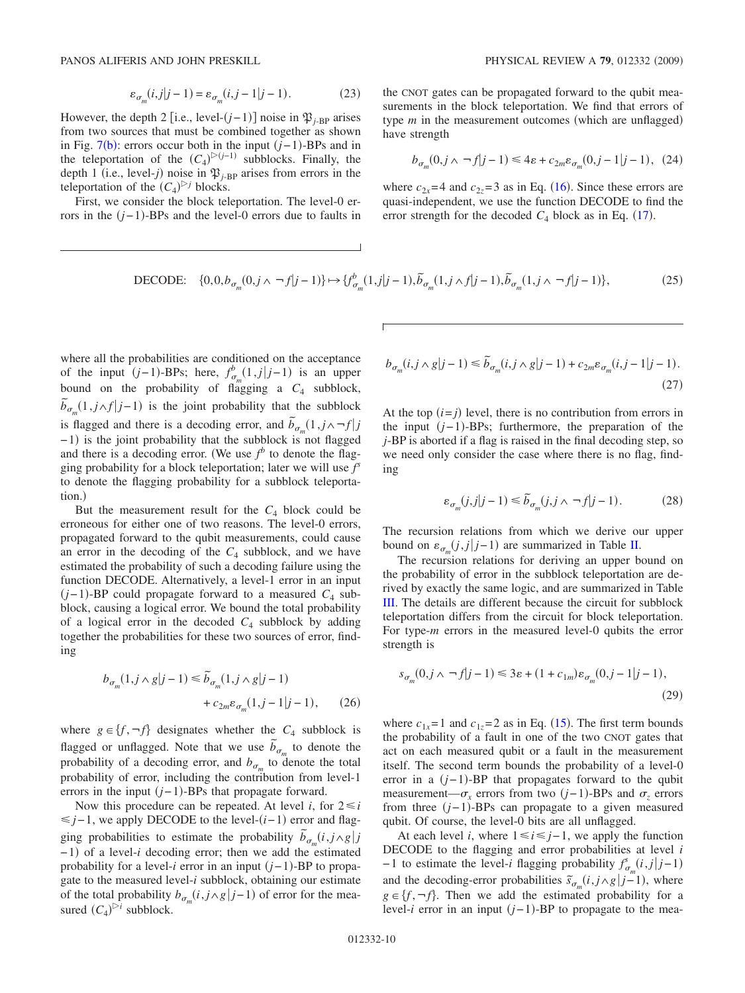$$
\varepsilon_{\sigma_m}(i,j|j-1) = \varepsilon_{\sigma_m}(i,j-1|j-1). \tag{23}
$$

However, the depth 2 [i.e., level- $(j-1)$ ] noise in  $\mathfrak{P}_{j-\text{BP}}$  arises from two sources that must be combined together as shown in Fig.  $7(b)$  $7(b)$ : errors occur both in the input  $(j-1)$ -BPs and in the teleportation of the  $(C_4)^{>(j-1)}$  subblocks. Finally, the depth 1 (i.e., level-*j*) noise in  $\mathfrak{P}_{j-\text{BP}}$  arises from errors in the teleportation of the  $(C_4)^{D}$  blocks.

First, we consider the block teleportation. The level-0 errors in the  $(j-1)$ -BPs and the level-0 errors due to faults in

the CNOT gates can be propagated forward to the qubit measurements in the block teleportation. We find that errors of type *m* in the measurement outcomes (which are unflagged) have strength

$$
b_{\sigma_m}(0, j \wedge \neg f|j-1) \le 4\varepsilon + c_{2m}\varepsilon_{\sigma_m}(0, j-1|j-1), \tag{24}
$$

where  $c_{2x}$ =4 and  $c_{2z}$ =3 as in Eq. ([16](#page-7-2)). Since these errors are quasi-independent, we use the function DECODE to find the error strength for the decoded  $C_4$  block as in Eq. ([17](#page-7-3)).

DECODE: 
$$
\{0,0,b_{\sigma_m}(0,j \wedge \neg f|j-1)\}\mapsto \{f_{\sigma_m}^b(1,j|j-1),\tilde{b}_{\sigma_m}(1,j \wedge f|j-1),\tilde{b}_{\sigma_m}(1,j \wedge \neg f|j-1)\},
$$
 (25)

where all the probabilities are conditioned on the acceptance of the input  $(j-1)$ -BPs; here,  $f_{\sigma_m}^b(1,j|j-1)$  is an upper bound on the probability of flagging a  $C_4$  subblock,  $\tilde{b}_{\sigma_m}(1, j \wedge f | j-1)$  is the joint probability that the subblock is flagged and there is a decoding error, and  $\tilde{b}_{\sigma_m}(1, j \wedge \neg f | j)$ −1) is the joint probability that the subblock is not flagged and there is a decoding error. (We use  $f^b$  to denote the flagging probability for a block teleportation; later we will use *f s* to denote the flagging probability for a subblock teleportation.)

But the measurement result for the  $C_4$  block could be erroneous for either one of two reasons. The level-0 errors, propagated forward to the qubit measurements, could cause an error in the decoding of the  $C_4$  subblock, and we have estimated the probability of such a decoding failure using the function DECODE. Alternatively, a level-1 error in an input  $(j-1)$ -BP could propagate forward to a measured  $C_4$  subblock, causing a logical error. We bound the total probability of a logical error in the decoded  $C_4$  subblock by adding together the probabilities for these two sources of error, finding

$$
b_{\sigma_m}(1, j \wedge g | j - 1) \le \tilde{b}_{\sigma_m}(1, j \wedge g | j - 1)
$$
  
+ 
$$
c_{2m} \varepsilon_{\sigma_m}(1, j - 1 | j - 1), \qquad (26)
$$

where  $g \in \{f, \neg f\}$  designates whether the  $C_4$  subblock is flagged or unflagged. Note that we use  $\tilde{b}_{\sigma_m}$  to denote the probability of a decoding error, and  $b_{\sigma_m}$  to denote the total probability of error, including the contribution from level-1 errors in the input (*j*−1)-BPs that propagate forward.

Now this procedure can be repeated. At level *i*, for  $2 \le i$ ≤ *j*−1, we apply DECODE to the level-(*i*-1) error and flagging probabilities to estimate the probability  $\tilde{b}_{\sigma_m}(i,j \wedge g)$ −1) of a level-*i* decoding error; then we add the estimated probability for a level-*i* error in an input  $(j-1)$ -BP to propagate to the measured level-*i* subblock, obtaining our estimate of the total probability  $b_{\sigma_m}(i, j \wedge g | j-1)$  of error for the measured  $(C_4)^{\triangleright i}$  subblock.

$$
b_{\sigma_m}(i, j \wedge g | j - 1) \le \tilde{b}_{\sigma_m}(i, j \wedge g | j - 1) + c_{2m} \varepsilon_{\sigma_m}(i, j - 1 | j - 1). \tag{27}
$$

At the top  $(i=j)$  level, there is no contribution from errors in the input (*j*−1)-BPs; furthermore, the preparation of the *j*-BP is aborted if a flag is raised in the final decoding step, so we need only consider the case where there is no flag, finding

$$
\varepsilon_{\sigma_m}(j,j|j-1) \le \tilde{b}_{\sigma_m}(j,j \wedge \neg f|j-1). \tag{28}
$$

The recursion relations from which we derive our upper bound on  $\varepsilon_{\sigma_m}(j,j|j-1)$  are summarized in Table [II.](#page-10-0)

The recursion relations for deriving an upper bound on the probability of error in the subblock teleportation are derived by exactly the same logic, and are summarized in Table [III.](#page-11-1) The details are different because the circuit for subblock teleportation differs from the circuit for block teleportation. For type-*m* errors in the measured level-0 qubits the error strength is

$$
s_{\sigma_m}(0, j \wedge \neg f|j-1) \le 3\varepsilon + (1 + c_{1m})\varepsilon_{\sigma_m}(0, j-1|j-1),
$$
\n(29)

where  $c_{1x}$ =1 and  $c_{1z}$ =2 as in Eq. ([15](#page-7-0)). The first term bounds the probability of a fault in one of the two CNOT gates that act on each measured qubit or a fault in the measurement itself. The second term bounds the probability of a level-0 error in a (*j*−1)-BP that propagates forward to the qubit measurement— $\sigma_x$  errors from two  $(j-1)$ -BPs and  $\sigma_z$  errors from three (*j*−1)-BPs can propagate to a given measured qubit. Of course, the level-0 bits are all unflagged.

At each level *i*, where  $1 \le i \le j-1$ , we apply the function DECODE to the flagging and error probabilities at level *i*  $-1$  to estimate the level-*i* flagging probability  $f_{\sigma_m}^s(i,j|j-1)$ and the decoding-error probabilities  $\tilde{s}_{\sigma_m}(i, j \wedge g | j-1)$ , where  $g \in \{f, \neg f\}$ . Then we add the estimated probability for a level-*i* error in an input (*j*−1)-BP to propagate to the mea-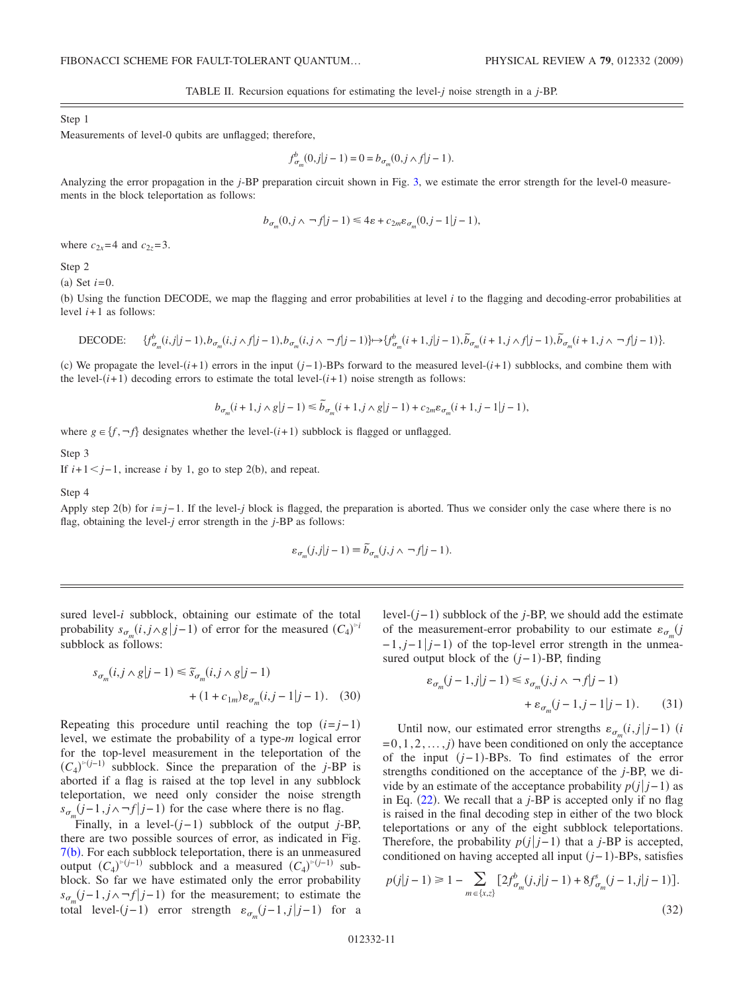TABLE II. Recursion equations for estimating the level-*j* noise strength in a *j*-BP.

#### <span id="page-10-0"></span>Step 1

Measurements of level-0 qubits are unflagged; therefore,

$$
f_{\sigma_m}^b(0,j|j-1) = 0 = b_{\sigma_m}(0,j \wedge f|j-1).
$$

Analyzing the error propagation in the *j*-BP preparation circuit shown in Fig. [3,](#page-3-1) we estimate the error strength for the level-0 measurements in the block teleportation as follows:

$$
b_{\sigma_m}(0,j \wedge \neg f|j-1) \leq 4\varepsilon + c_{2m}\varepsilon_{\sigma_m}(0,j-1|j-1),
$$

where  $c_{2x} = 4$  and  $c_{2z} = 3$ .

Step 2

(a) Set  $i=0$ .

b- Using the function DECODE, we map the flagging and error probabilities at level *i* to the flagging and decoding-error probabilities at level  $i+1$  as follows:

$$
\text{DECODE:}\qquad \{f_{\sigma_m}^b(i,j|j-1),b_{\sigma_m}(i,j\wedge f|j-1),b_{\sigma_m}(i,j\wedge \lnot f|j-1)\}\mapsto \\ \{f_{\sigma_m}^b(i+1,j|j-1),\widetilde{b}_{\sigma_m}(i+1,j\wedge f|j-1),\widetilde{b}_{\sigma_m}(i+1,j\wedge \lnot f|j-1)\}.
$$

(c) We propagate the level-(*i*+1) errors in the input (*j*−1)-BPs forward to the measured level-(*i*+1) subblocks, and combine them with the level- $(i+1)$  decoding errors to estimate the total level- $(i+1)$  noise strength as follows:

$$
b_{\sigma_m}(i+1,j\wedge g|j-1)\leq \widetilde{b}_{\sigma_m}(i+1,j\wedge g|j-1)+c_{2m}\varepsilon_{\sigma_m}(i+1,j-1|j-1),
$$

where  $g \in \{f, \neg f\}$  designates whether the level- $(i+1)$  subblock is flagged or unflagged.

Step 3

If  $i+1 < j-1$ , increase *i* by 1, go to step 2(b), and repeat.

Step 4

Apply step 2(b) for *i*=*j*−1. If the level-*j* block is flagged, the preparation is aborted. Thus we consider only the case where there is no flag, obtaining the level-*j* error strength in the *j*-BP as follows:

$$
\varepsilon_{\sigma_m}(j,j|j-1) \equiv \widetilde{b}_{\sigma_m}(j,j \wedge \neg f|j-1).
$$

sured level-*i* subblock, obtaining our estimate of the total probability  $s_{\sigma_m}(i, j \wedge g | j-1)$  of error for the measured  $(C_4)^{F_i}$ subblock as follows:

$$
s_{\sigma_m}(i, j \wedge g | j - 1) \le \tilde{s}_{\sigma_m}(i, j \wedge g | j - 1)
$$
  
+ 
$$
(1 + c_{1m}) \varepsilon_{\sigma_m}(i, j - 1 | j - 1).
$$
 (30)

Repeating this procedure until reaching the top  $(i=j-1)$ level, we estimate the probability of a type-*m* logical error for the top-level measurement in the teleportation of the  $(C_4)^{>(j-1)}$  subblock. Since the preparation of the *j*-BP is aborted if a flag is raised at the top level in any subblock teleportation, we need only consider the noise strength  $s_{\sigma_m}(j-1, j \wedge \neg f | j-1)$  for the case where there is no flag.

Finally, in a level-(*j*-1) subblock of the output *j*-BP, there are two possible sources of error, as indicated in Fig. [7](#page-8-3)(b). For each subblock teleportation, there is an unmeasured output  $(C_4)^{-(j-1)}$  subblock and a measured  $(C_4)^{-(j-1)}$  subblock. So far we have estimated only the error probability  $s_{\sigma_m}(j-1, j \wedge \neg f|j-1)$  for the measurement; to estimate the total level- $(j-1)$  error strength  $\varepsilon_{\sigma_m}(j-1,j|j-1)$  for a

level-(*j*−1) subblock of the *j*-BP, we should add the estimate of the measurement-error probability to our estimate  $\varepsilon_{\sigma}$  (*j*  $-1$ , *j*−1  $|j-1|$  of the top-level error strength in the unmeasured output block of the  $(j-1)$ -BP, finding

$$
\varepsilon_{\sigma_m}(j-1,j|j-1) \leq s_{\sigma_m}(j,j \wedge \neg f|j-1) + \varepsilon_{\sigma_m}(j-1,j-1|j-1).
$$
 (31)

Until now, our estimated error strengths  $\varepsilon_{\sigma_m}(i,j|j-1)$  *(i*)  $=0,1,2,..., j$  have been conditioned on only the acceptance of the input (*j*−1)-BPs. To find estimates of the error strengths conditioned on the acceptance of the *j*-BP, we divide by an estimate of the acceptance probability  $p(j|j-1)$  as in Eq.  $(22)$  $(22)$  $(22)$ . We recall that a *j*-BP is accepted only if no flag is raised in the final decoding step in either of the two block teleportations or any of the eight subblock teleportations. Therefore, the probability  $p(j|j-1)$  that a *j*-BP is accepted, conditioned on having accepted all input *j*−1--BPs, satisfies

$$
p(j|j-1) \ge 1 - \sum_{m \in \{x,z\}} \left[ 2f_{\sigma_m}^b(j,j|j-1) + 8f_{\sigma_m}^s(j-1,j|j-1) \right].
$$
\n(32)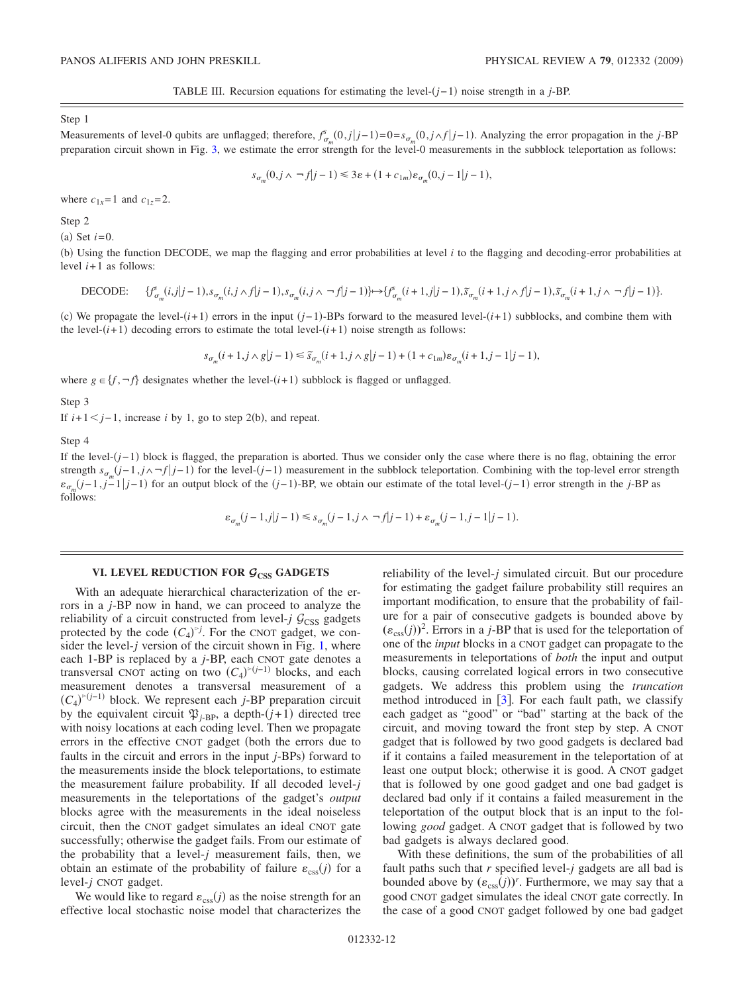TABLE III. Recursion equations for estimating the level- $(j-1)$  noise strength in a *j*-BP.

<span id="page-11-1"></span>Step 1

Measurements of level-0 qubits are unflagged; therefore,  $f_{\sigma_m}^s(0,j|j-1)=0=s_{\sigma_m}(0,j\land f|j-1)$ . Analyzing the error propagation in the *j*-BP preparation circuit shown in Fig. [3,](#page-3-1) we estimate the error strength for the level-0 measurements in the subblock teleportation as follows:

$$
s_{\sigma_m}(0,j \wedge \neg f|j-1) \leq 3\varepsilon + (1 + c_{1m})\varepsilon_{\sigma_m}(0,j-1|j-1),
$$

where  $c_{1x} = 1$  and  $c_{1z} = 2$ .

Step 2

(a) Set  $i=0$ .

b- Using the function DECODE, we map the flagging and error probabilities at level *i* to the flagging and decoding-error probabilities at level  $i+1$  as follows:

$$
\text{DECODE:}\qquad \{f^s_{\sigma_m}(i,j|j-1),s_{\sigma_m}(i,j\wedge f|j-1),s_{\sigma_m}(i,j\wedge \lnot f|j-1)\}\mapsto \{f^s_{\sigma_m}(i+1,j|j-1),\widetilde{s}_{\sigma_m}(i+1,j\wedge f|j-1),\widetilde{s}_{\sigma_m}(i+1,j\wedge \lnot f|j-1)\}.
$$

(c) We propagate the level-(*i*+1) errors in the input (*j*−1)-BPs forward to the measured level-(*i*+1) subblocks, and combine them with the level- $(i+1)$  decoding errors to estimate the total level- $(i+1)$  noise strength as follows:

$$
s_{\sigma_m}(i+1,j\wedge g|j-1)\leq \widetilde{s}_{\sigma_m}(i+1,j\wedge g|j-1)+(1+c_{1m})\varepsilon_{\sigma_m}(i+1,j-1|j-1),
$$

where  $g \in \{f, \neg f\}$  designates whether the level- $(i+1)$  subblock is flagged or unflagged.

Step 3

If  $i+1 < j-1$ , increase *i* by 1, go to step 2(b), and repeat.

Step 4

If the level-*j*−1- block is flagged, the preparation is aborted. Thus we consider only the case where there is no flag, obtaining the error strength  $s_{\sigma_m}(j-1, j \wedge \neg f|j-1)$  for the level- $(j-1)$  measurement in the subblock teleportation. Combining with the top-level error strength  $\varepsilon_{\sigma_m}(j-1,j-1|j-1)$  for an output block of the  $(j-1)$ -BP, we obtain our estimate of the total level- $(j-1)$  error strength in the *j*-BP as follows:

$$
\varepsilon_{\sigma_m}(j-1,j|j-1) \leq s_{\sigma_m}(j-1,j \wedge \neg f|j-1) + \varepsilon_{\sigma_m}(j-1,j-1|j-1).
$$

## VI. LEVEL REDUCTION FOR  $G_{\text{CSS}}$  GADGETS

<span id="page-11-0"></span>With an adequate hierarchical characterization of the errors in a *j*-BP now in hand, we can proceed to analyze the reliability of a circuit constructed from level- $j$   $\mathcal{G}_{CSS}$  gadgets protected by the code  $(C_4)^{5j}$ . For the CNOT gadget, we consider the level- $j$  version of the circuit shown in Fig. [1,](#page-2-0) where each 1-BP is replaced by a *j*-BP, each CNOT gate denotes a transversal CNOT acting on two  $(C_4)^{-(j-1)}$  blocks, and each measurement denotes a transversal measurement of a  $(C_4)^{>(j-1)}$  block. We represent each *j*-BP preparation circuit by the equivalent circuit  $\mathfrak{P}_{j-BP}$ , a depth- $(j+1)$  directed tree with noisy locations at each coding level. Then we propagate errors in the effective CNOT gadget (both the errors due to faults in the circuit and errors in the input *j*-BPs) forward to the measurements inside the block teleportations, to estimate the measurement failure probability. If all decoded level-*j* measurements in the teleportations of the gadget's *output* blocks agree with the measurements in the ideal noiseless circuit, then the CNOT gadget simulates an ideal CNOT gate successfully; otherwise the gadget fails. From our estimate of the probability that a level-*j* measurement fails, then, we obtain an estimate of the probability of failure  $\varepsilon_{\rm ess}(j)$  for a level-*j* CNOT gadget.

We would like to regard  $\varepsilon_{\text{css}}(j)$  as the noise strength for an effective local stochastic noise model that characterizes the reliability of the level-*j* simulated circuit. But our procedure for estimating the gadget failure probability still requires an important modification, to ensure that the probability of failure for a pair of consecutive gadgets is bounded above by  $(\varepsilon_{\text{css}}(j))^2$ . Errors in a *j*-BP that is used for the teleportation of one of the *input* blocks in a CNOT gadget can propagate to the measurements in teleportations of *both* the input and output blocks, causing correlated logical errors in two consecutive gadgets. We address this problem using the *truncation* method introduced in  $[3]$  $[3]$  $[3]$ . For each fault path, we classify each gadget as "good" or "bad" starting at the back of the circuit, and moving toward the front step by step. A CNOT gadget that is followed by two good gadgets is declared bad if it contains a failed measurement in the teleportation of at least one output block; otherwise it is good. A CNOT gadget that is followed by one good gadget and one bad gadget is declared bad only if it contains a failed measurement in the teleportation of the output block that is an input to the following *good* gadget. A CNOT gadget that is followed by two bad gadgets is always declared good.

With these definitions, the sum of the probabilities of all fault paths such that *r* specified level-*j* gadgets are all bad is bounded above by  $(\varepsilon_{\text{css}}(j))^r$ . Furthermore, we may say that a good CNOT gadget simulates the ideal CNOT gate correctly. In the case of a good CNOT gadget followed by one bad gadget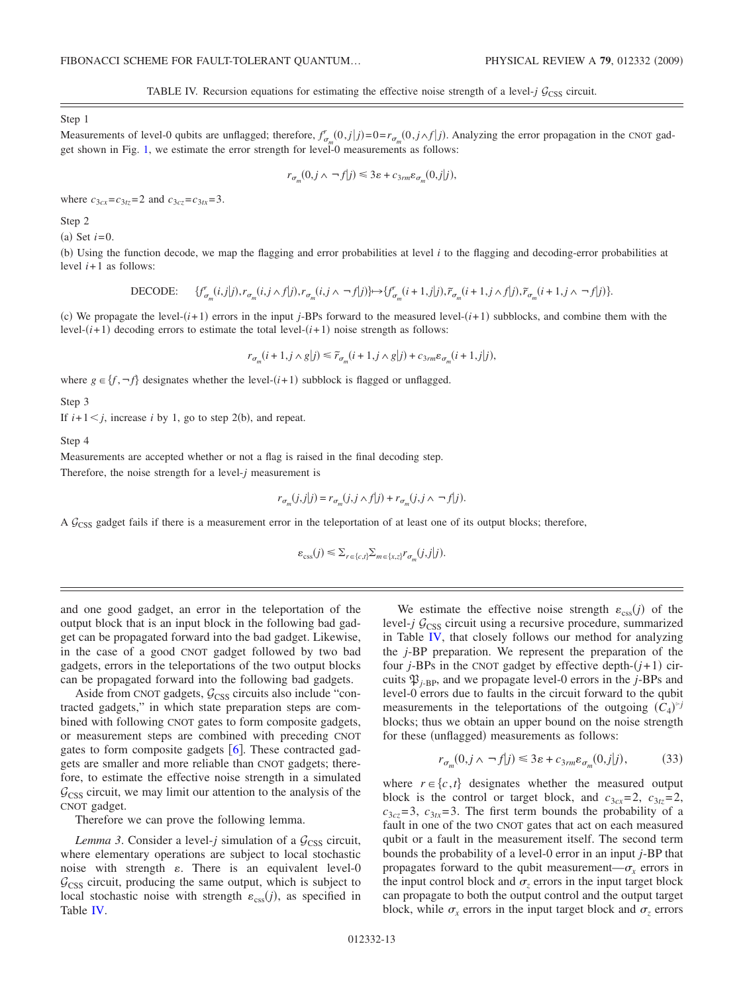TABLE IV. Recursion equations for estimating the effective noise strength of a level- $j$   $\mathcal{G}_{CSS}$  circuit.

<span id="page-12-0"></span>Step 1

Measurements of level-0 qubits are unflagged; therefore,  $f_{\sigma_m}^r(0,j|j)=0=r_{\sigma_m}(0,j\wedge f|j)$ . Analyzing the error propagation in the CNOT gadget shown in Fig. [1,](#page-2-0) we estimate the error strength for level-0 measurements as follows:

$$
r_{\sigma_m}(0,j \wedge \neg f|j) \leq 3\varepsilon + c_{3rm} \varepsilon_{\sigma_m}(0,j|j),
$$

where  $c_{3cx} = c_{3tz} = 2$  and  $c_{3cz} = c_{3tx} = 3$ .

Step 2

(a) Set  $i=0$ .

b- Using the function decode, we map the flagging and error probabilities at level *i* to the flagging and decoding-error probabilities at level *i*+1 as follows:

$$
\text{DECODE:}\qquad \{f_{\sigma_m}^{r}(i,j|j),r_{\sigma_m}(i,j\wedge f|j),r_{\sigma_m}(i,j\wedge \lnot f|j)\} \mapsto \{f_{\sigma_m}^{r}(i+1,j|j),\widetilde{r}_{\sigma_m}(i+1,j\wedge f|j),\widetilde{r}_{\sigma_m}(i+1,j\wedge \lnot f|j)\}.
$$

(c) We propagate the level- $(i+1)$  errors in the input *j*-BPs forward to the measured level- $(i+1)$  subblocks, and combine them with the level- $(i+1)$  decoding errors to estimate the total level- $(i+1)$  noise strength as follows:

$$
r_{\sigma_m}(i+1,j\wedge g|j) \leq \widetilde{r}_{\sigma_m}(i+1,j\wedge g|j) + c_{3rm} \varepsilon_{\sigma_m}(i+1,j|j),
$$

where  $g \in \{f, \neg f\}$  designates whether the level- $(i+1)$  subblock is flagged or unflagged.

Step 3

If  $i+1 \leq j$ , increase *i* by 1, go to step 2(b), and repeat.

Step 4

Measurements are accepted whether or not a flag is raised in the final decoding step.

Therefore, the noise strength for a level-*j* measurement is

$$
r_{\sigma_m}(j,j|j) = r_{\sigma_m}(j,j \wedge f|j) + r_{\sigma_m}(j,j \wedge \neg f|j).
$$

A  $G<sub>CSS</sub>$  gadget fails if there is a measurement error in the teleportation of at least one of its output blocks; therefore,

$$
\varepsilon_{\text{css}}(j) \leq \sum_{r \in \{c,t\}} \sum_{m \in \{x,z\}} r_{\sigma_m}(j,j|j).
$$

and one good gadget, an error in the teleportation of the output block that is an input block in the following bad gadget can be propagated forward into the bad gadget. Likewise, in the case of a good CNOT gadget followed by two bad gadgets, errors in the teleportations of the two output blocks can be propagated forward into the following bad gadgets.

Aside from CNOT gadgets,  $G_{CSS}$  circuits also include "contracted gadgets," in which state preparation steps are combined with following CNOT gates to form composite gadgets, or measurement steps are combined with preceding CNOT gates to form composite gadgets  $[6]$  $[6]$  $[6]$ . These contracted gadgets are smaller and more reliable than CNOT gadgets; therefore, to estimate the effective noise strength in a simulated  $G<sub>CSS</sub>$  circuit, we may limit our attention to the analysis of the CNOT gadget.

Therefore we can prove the following lemma.

*Lemma 3*. Consider a level-*j* simulation of a  $G_{\text{CSS}}$  circuit, where elementary operations are subject to local stochastic noise with strength  $\varepsilon$ . There is an equivalent level-0  $G<sub>CSS</sub>$  circuit, producing the same output, which is subject to local stochastic noise with strength  $\varepsilon_{\text{css}}(j)$ , as specified in Table [IV.](#page-12-0)

We estimate the effective noise strength  $\varepsilon_{\rm ess}(j)$  of the level- $j$   $G<sub>CSS</sub>$  circuit using a recursive procedure, summarized in Table [IV,](#page-12-0) that closely follows our method for analyzing the *j*-BP preparation. We represent the preparation of the four *j*-BPs in the CNOT gadget by effective depth- $(j+1)$  circuits  $\mathfrak{P}_{i-RP}$ , and we propagate level-0 errors in the *j*-BPs and level-0 errors due to faults in the circuit forward to the qubit measurements in the teleportations of the outgoing  $(\tilde{C}_4)^{p}$ blocks; thus we obtain an upper bound on the noise strength for these (unflagged) measurements as follows:

$$
r_{\sigma_m}(0, j \wedge \neg f|j) \leq 3\varepsilon + c_{3rm} \varepsilon_{\sigma_m}(0, j|j), \tag{33}
$$

where  $r \in \{c, t\}$  designates whether the measured output block is the control or target block, and  $c_{3cx}=2$ ,  $c_{3tz}=2$ ,  $c_{3cz}$ =3,  $c_{3tx}$ =3. The first term bounds the probability of a fault in one of the two CNOT gates that act on each measured qubit or a fault in the measurement itself. The second term bounds the probability of a level-0 error in an input *j*-BP that propagates forward to the qubit measurement— $\sigma_r$  errors in the input control block and  $\sigma$ <sub>z</sub> errors in the input target block can propagate to both the output control and the output target block, while  $\sigma_x$  errors in the input target block and  $\sigma_z$  errors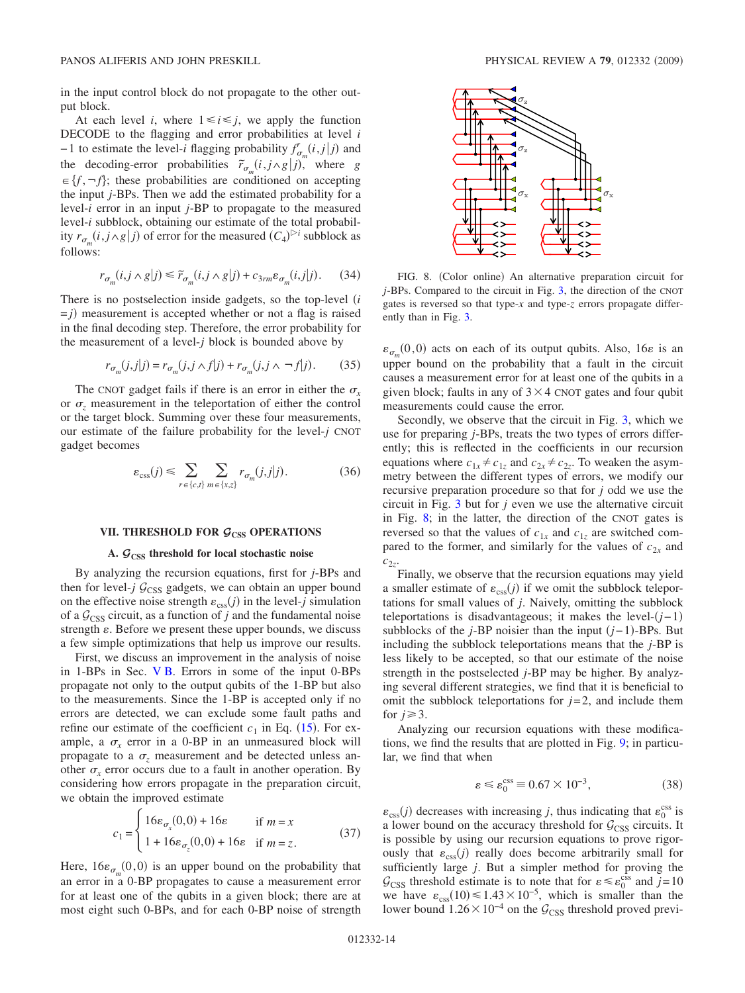in the input control block do not propagate to the other output block.

At each level *i*, where  $1 \le i \le j$ , we apply the function DECODE to the flagging and error probabilities at level *i*  $-1$  to estimate the level-*i* flagging probability  $f_{\sigma_m}^r(i,j|j)$  and the decoding-error probabilities  $\tilde{r}_{\sigma_m}(i, j \wedge g | j)$ , where *g*  $f(x) = \{f, \neg f\}$ ; these probabilities are conditioned on accepting the input *j*-BPs. Then we add the estimated probability for a level-*i* error in an input *j*-BP to propagate to the measured level-*i* subblock, obtaining our estimate of the total probability  $r_{\sigma_m}(i, j \wedge g | j)$  of error for the measured  $(C_4)^{\triangleright i}$  subblock as follows:

$$
r_{\sigma_m}(i, j \wedge g | j) \le \widetilde{r}_{\sigma_m}(i, j \wedge g | j) + c_{3rm} \varepsilon_{\sigma_m}(i, j | j). \tag{34}
$$

There is no postselection inside gadgets, so the top-level *i*  $= j$ ) measurement is accepted whether or not a flag is raised in the final decoding step. Therefore, the error probability for the measurement of a level-*j* block is bounded above by

$$
r_{\sigma_m}(j,j|j) = r_{\sigma_m}(j,j \wedge f|j) + r_{\sigma_m}(j,j \wedge \neg f|j). \tag{35}
$$

The CNOT gadget fails if there is an error in either the  $\sigma_r$ or  $\sigma_z$  measurement in the teleportation of either the control or the target block. Summing over these four measurements, our estimate of the failure probability for the level-*j* CNOT gadget becomes

$$
\varepsilon_{\text{css}}(j) \leq \sum_{r \in \{c,t\}} \sum_{m \in \{x,z\}} r_{\sigma_m}(j,j|j). \tag{36}
$$

# VII. THRESHOLD FOR  $G_{\text{CSS}}$  OPERATIONS

## **A.** *G***CSS threshold for local stochastic noise**

<span id="page-13-0"></span>By analyzing the recursion equations, first for *j*-BPs and then for level-*j*  $G_{\text{CSS}}$  gadgets, we can obtain an upper bound on the effective noise strength  $\varepsilon_{\rm css}(j)$  in the level-*j* simulation of a  $\mathcal{G}_{CSS}$  circuit, as a function of *j* and the fundamental noise strength  $\varepsilon$ . Before we present these upper bounds, we discuss a few simple optimizations that help us improve our results.

First, we discuss an improvement in the analysis of noise in 1-BPs in Sec. [V B.](#page-6-4) Errors in some of the input 0-BPs propagate not only to the output qubits of the 1-BP but also to the measurements. Since the 1-BP is accepted only if no errors are detected, we can exclude some fault paths and refine our estimate of the coefficient  $c_1$  in Eq. ([15](#page-7-0)). For example, a  $\sigma_x$  error in a 0-BP in an unmeasured block will propagate to a  $\sigma$ <sub>z</sub> measurement and be detected unless another  $\sigma_x$  error occurs due to a fault in another operation. By considering how errors propagate in the preparation circuit, we obtain the improved estimate

$$
c_1 = \begin{cases} 16\varepsilon_{\sigma_x}(0,0) + 16\varepsilon & \text{if } m = x \\ 1 + 16\varepsilon_{\sigma_z}(0,0) + 16\varepsilon & \text{if } m = z. \end{cases}
$$
(37)

Here,  $16\varepsilon_{\sigma_m}(0,0)$  is an upper bound on the probability that an error in a 0-BP propagates to cause a measurement error for at least one of the qubits in a given block; there are at most eight such 0-BPs, and for each 0-BP noise of strength

<span id="page-13-1"></span>

FIG. 8. (Color online) An alternative preparation circuit for *j*-BPs. Compared to the circuit in Fig. [3,](#page-3-1) the direction of the CNOT gates is reversed so that type-*x* and type-*z* errors propagate differently than in Fig. [3.](#page-3-1)

 $\varepsilon_{\sigma_m}(0,0)$  acts on each of its output qubits. Also, 16 $\varepsilon$  is an upper bound on the probability that a fault in the circuit causes a measurement error for at least one of the qubits in a given block; faults in any of  $3 \times 4$  CNOT gates and four qubit measurements could cause the error.

Secondly, we observe that the circuit in Fig. [3,](#page-3-1) which we use for preparing *j*-BPs, treats the two types of errors differently; this is reflected in the coefficients in our recursion equations where  $c_{1x} \neq c_{1z}$  and  $c_{2x} \neq c_{2z}$ . To weaken the asymmetry between the different types of errors, we modify our recursive preparation procedure so that for *j* odd we use the circuit in Fig. [3](#page-3-1) but for *j* even we use the alternative circuit in Fig. [8;](#page-13-1) in the latter, the direction of the CNOT gates is reversed so that the values of  $c_{1x}$  and  $c_{1z}$  are switched compared to the former, and similarly for the values of  $c_{2x}$  and  $c_{2z}$ .

Finally, we observe that the recursion equations may yield a smaller estimate of  $\varepsilon_{\rm css}(j)$  if we omit the subblock teleportations for small values of *j*. Naively, omitting the subblock teleportations is disadvantageous; it makes the level-*j*−1 subblocks of the *j*-BP noisier than the input (*j*−1)-BPs. But including the subblock teleportations means that the *j*-BP is less likely to be accepted, so that our estimate of the noise strength in the postselected *j*-BP may be higher. By analyzing several different strategies, we find that it is beneficial to omit the subblock teleportations for  $j=2$ , and include them for  $i \geq 3$ .

Analyzing our recursion equations with these modifications, we find the results that are plotted in Fig. [9;](#page-14-0) in particular, we find that when

$$
\varepsilon \le \varepsilon_0^{\text{css}} \equiv 0.67 \times 10^{-3},\tag{38}
$$

<span id="page-13-2"></span> $\varepsilon_{\text{css}}(j)$  decreases with increasing *j*, thus indicating that  $\varepsilon_0^{\text{css}}$  is a lower bound on the accuracy threshold for  $G<sub>CSS</sub>$  circuits. It is possible by using our recursion equations to prove rigorously that  $\varepsilon_{\text{css}}(j)$  really does become arbitrarily small for sufficiently large *j*. But a simpler method for proving the  $\mathcal{G}_{CSS}$  threshold estimate is to note that for  $\varepsilon \leq \varepsilon_0^{css}$  and  $j=10$ we have  $\varepsilon_{\text{css}}(10) \le 1.43 \times 10^{-5}$ , which is smaller than the lower bound  $1.26\times10^{-4}$  on the  $\mathcal{G}_{CSS}$  threshold proved previ-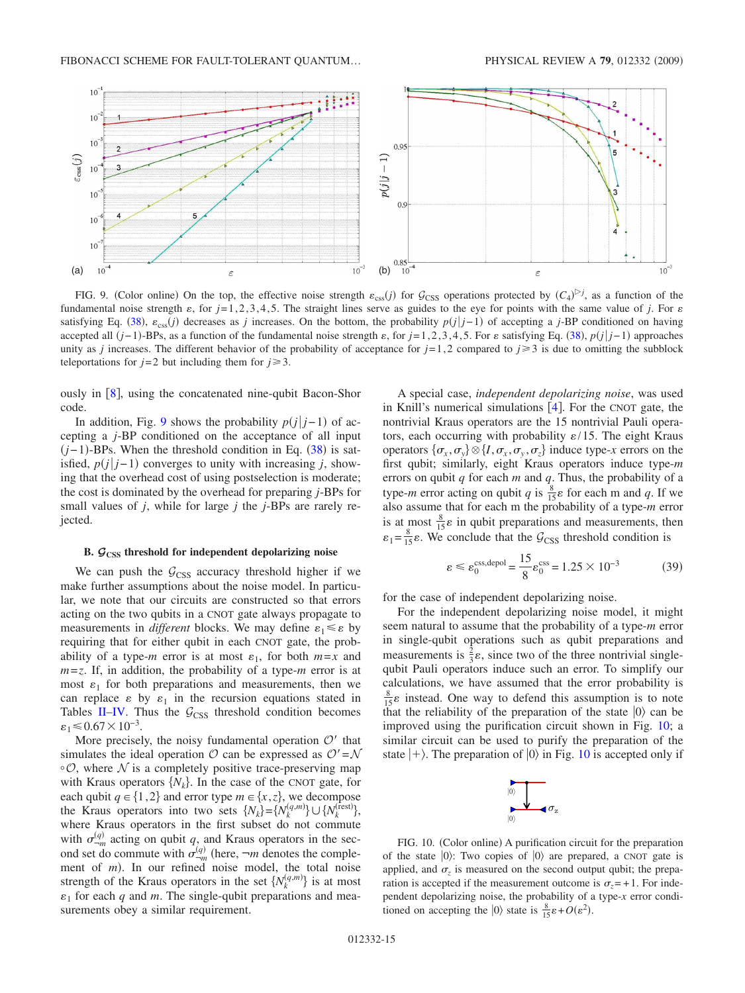<span id="page-14-0"></span>

FIG. 9. (Color online) On the top, the effective noise strength  $\varepsilon_{\text{css}}(j)$  for  $\mathcal{G}_{\text{CSS}}$  operations protected by  $(C_4)^{\triangleright j}$ , as a function of the fundamental noise strength  $\varepsilon$ , for  $j=1,2,3,4,5$ . The straight lines serve as guides to the eye for points with the same value of *j*. For  $\varepsilon$ satisfying Eq. ([38](#page-13-2)),  $\varepsilon_{\text{css}}(j)$  decreases as *j* increases. On the bottom, the probability  $p(j|j-1)$  of accepting a *j*-BP conditioned on having accepted all  $(j-1)$ -BPs, as a function of the fundamental noise strength  $\varepsilon$ , for  $j=1,2,3,4,5$ . For  $\varepsilon$  satisfying Eq. ([38](#page-13-2)),  $p(j|j-1)$  approaches unity as *j* increases. The different behavior of the probability of acceptance for  $j=1,2$  compared to  $j\geq 3$  is due to omitting the subblock teleportations for  $j=2$  but including them for  $j \ge 3$ .

ously in  $[8]$  $[8]$  $[8]$ , using the concatenated nine-qubit Bacon-Shor code.

In addition, Fig. [9](#page-14-0) shows the probability  $p(j|j-1)$  of accepting a *j*-BP conditioned on the acceptance of all input  $(j-1)$ -BPs. When the threshold condition in Eq. ([38](#page-13-2)) is satisfied,  $p(j|j-1)$  converges to unity with increasing *j*, showing that the overhead cost of using postselection is moderate; the cost is dominated by the overhead for preparing *j*-BPs for small values of *j*, while for large *j* the *j*-BPs are rarely rejected.

## **B.** *G***CSS threshold for independent depolarizing noise**

We can push the  $G<sub>CSS</sub>$  accuracy threshold higher if we make further assumptions about the noise model. In particular, we note that our circuits are constructed so that errors acting on the two qubits in a CNOT gate always propagate to measurements in *different* blocks. We may define  $\varepsilon_1 \leq \varepsilon$  by requiring that for either qubit in each CNOT gate, the probability of a type-*m* error is at most  $\varepsilon_1$ , for both  $m=x$  and *m*=*z*. If, in addition, the probability of a type-*m* error is at most  $\varepsilon_1$  for both preparations and measurements, then we can replace  $\varepsilon$  by  $\varepsilon_1$  in the recursion equations stated in Tables [II–](#page-10-0)[IV.](#page-12-0) Thus the  $G_{\text{CSS}}$  threshold condition becomes  $\varepsilon_1 \leqslant 0.67 \times 10^{-3}$ .

More precisely, the noisy fundamental operation  $O'$  that simulates the ideal operation O can be expressed as  $\mathcal{O}'=\mathcal{N}$  $\circ \mathcal{O}$ , where N is a completely positive trace-preserving map with Kraus operators  $\{N_k\}$ . In the case of the CNOT gate, for each qubit  $q \in \{1,2\}$  and error type  $m \in \{x,z\}$ , we decompose the Kraus operators into two sets  $\{N_k\} = \{N_k^{(q,m)}\} \cup \{N_k^{(\text{rest})}\},$ where Kraus operators in the first subset do not commute with  $\sigma_{-m}^{(q)}$  acting on qubit *q*, and Kraus operators in the second set do commute with  $\sigma_{-m}^{(q)}$  (here,  $-m$  denotes the complement of *m*). In our refined noise model, the total noise strength of the Kraus operators in the set  $\{N_k^{(q,m)}\}$  is at most  $\varepsilon_1$  for each  $q$  and  $m$ . The single-qubit preparations and measurements obey a similar requirement.

A special case, *independent depolarizing noise*, was used in Knill's numerical simulations  $[4]$  $[4]$  $[4]$ . For the CNOT gate, the nontrivial Kraus operators are the 15 nontrivial Pauli operators, each occurring with probability  $\varepsilon/15$ . The eight Kraus operators  $\{\sigma_x, \sigma_y\} \otimes \{I, \sigma_x, \sigma_y, \sigma_z\}$  induce type-*x* errors on the first qubit; similarly, eight Kraus operators induce type-*m* errors on qubit *q* for each *m* and *q*. Thus, the probability of a type-*m* error acting on qubit *q* is  $\frac{8}{15}$  for each m and *q*. If we also assume that for each m the probability of a type-*m* error is at most  $\frac{8}{15}$  $\varepsilon$  in qubit preparations and measurements, then  $\varepsilon_1 = \frac{8}{15} \varepsilon$ . We conclude that the  $\mathcal{G}_{CSS}$  threshold condition is

$$
\varepsilon \le \varepsilon_0^{\text{css,depol}} = \frac{15}{8} \varepsilon_0^{\text{css}} = 1.25 \times 10^{-3}
$$
 (39)

for the case of independent depolarizing noise.

For the independent depolarizing noise model, it might seem natural to assume that the probability of a type-*m* error in single-qubit operations such as qubit preparations and measurements is  $\frac{2}{3}\varepsilon$ , since two of the three nontrivial singlequbit Pauli operators induce such an error. To simplify our calculations, we have assumed that the error probability is  $\frac{8}{15}$  e instead. One way to defend this assumption is to note that the reliability of the preparation of the state  $|0\rangle$  can be improved using the purification circuit shown in Fig. [10;](#page-14-1) a similar circuit can be used to purify the preparation of the state  $\ket{+}$ . The preparation of  $\ket{0}$  in Fig. [10](#page-14-1) is accepted only if



<span id="page-14-1"></span>FIG. 10. (Color online) A purification circuit for the preparation of the state  $|0\rangle$ : Two copies of  $|0\rangle$  are prepared, a CNOT gate is applied, and  $\sigma_z$  is measured on the second output qubit; the preparation is accepted if the measurement outcome is  $\sigma_z = +1$ . For independent depolarizing noise, the probability of a type-*x* error conditioned on accepting the  $|0\rangle$  state is  $\frac{8}{15}\varepsilon + O(\varepsilon^2)$ .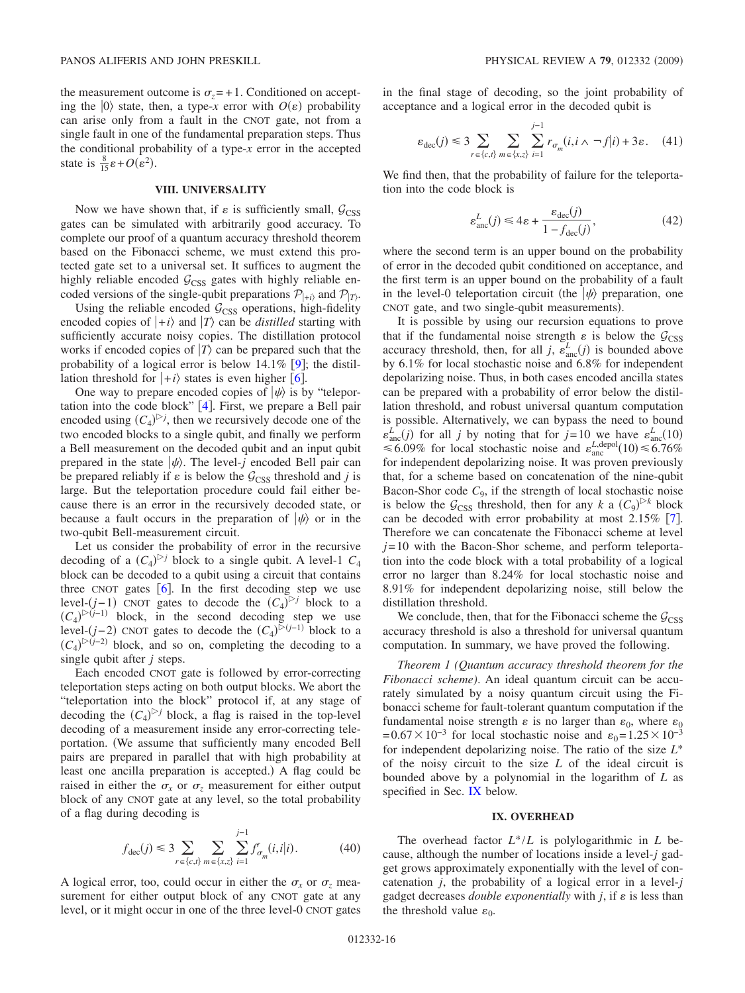the measurement outcome is  $\sigma_z = +1$ . Conditioned on accepting the  $|0\rangle$  state, then, a type-*x* error with  $O(\varepsilon)$  probability can arise only from a fault in the CNOT gate, not from a single fault in one of the fundamental preparation steps. Thus the conditional probability of a type-*x* error in the accepted state is  $\frac{8}{15}\varepsilon + O(\varepsilon^2)$ .

## **VIII. UNIVERSALITY**

<span id="page-15-0"></span>Now we have shown that, if  $\varepsilon$  is sufficiently small,  $\mathcal{G}_{\text{CSS}}$ gates can be simulated with arbitrarily good accuracy. To complete our proof of a quantum accuracy threshold theorem based on the Fibonacci scheme, we must extend this protected gate set to a universal set. It suffices to augment the highly reliable encoded  $G_{\text{CSS}}$  gates with highly reliable encoded versions of the single-qubit preparations  $\mathcal{P}_{+i}$  and  $\mathcal{P}_{+i}$ .

Using the reliable encoded  $G<sub>CSS</sub>$  operations, high-fidelity encoded copies of  $|+i\rangle$  and  $|T\rangle$  can be *distilled* starting with sufficiently accurate noisy copies. The distillation protocol works if encoded copies of  $|T\rangle$  can be prepared such that the probability of a logical error is below  $14.1\%$  [[9](#page-17-9)]; the distillation threshold for  $|+i\rangle$  states is even higher [[6](#page-17-4)].

One way to prepare encoded copies of  $|\psi\rangle$  is by "teleportation into the code block"  $[4]$  $[4]$  $[4]$ . First, we prepare a Bell pair encoded using  $(C_4)^{>j}$ , then we recursively decode one of the two encoded blocks to a single qubit, and finally we perform a Bell measurement on the decoded qubit and an input qubit prepared in the state  $|\psi\rangle$ . The level-*j* encoded Bell pair can be prepared reliably if  $\varepsilon$  is below the  $\mathcal{G}_{CSS}$  threshold and *j* is large. But the teleportation procedure could fail either because there is an error in the recursively decoded state, or because a fault occurs in the preparation of  $|\psi\rangle$  or in the two-qubit Bell-measurement circuit.

Let us consider the probability of error in the recursive decoding of a  $(C_4)^{D}$  block to a single qubit. A level-1  $C_4$ block can be decoded to a qubit using a circuit that contains three CNOT gates  $\lceil 6 \rceil$  $\lceil 6 \rceil$  $\lceil 6 \rceil$ . In the first decoding step we use level- $(j-1)$  CNOT gates to decode the  $(C_4)^{>j}$  block to a  $(C_4)^{\triangleright (j-1)}$  block, in the second decoding step we use level- $(j-2)$  CNOT gates to decode the  $(C_4)^{\triangleright (j-1)}$  block to a  $(C_4)^{\triangleright (j-2)}$  block, and so on, completing the decoding to a single qubit after *j* steps.

Each encoded CNOT gate is followed by error-correcting teleportation steps acting on both output blocks. We abort the "teleportation into the block" protocol if, at any stage of decoding the  $(C_4)^{c}$  block, a flag is raised in the top-level decoding of a measurement inside any error-correcting teleportation. We assume that sufficiently many encoded Bell pairs are prepared in parallel that with high probability at least one ancilla preparation is accepted.) A flag could be raised in either the  $\sigma_x$  or  $\sigma_z$  measurement for either output block of any CNOT gate at any level, so the total probability of a flag during decoding is

$$
f_{\text{dec}}(j) \le 3 \sum_{r \in \{c, t\}} \sum_{m \in \{x, z\}} \sum_{i=1}^{j-1} f'_{\sigma_m}(i, i|i). \tag{40}
$$

A logical error, too, could occur in either the  $\sigma_x$  or  $\sigma_z$  measurement for either output block of any CNOT gate at any level, or it might occur in one of the three level-0 CNOT gates in the final stage of decoding, so the joint probability of acceptance and a logical error in the decoded qubit is

$$
\varepsilon_{\text{dec}}(j) \leq 3 \sum_{r \in \{c,t\}} \sum_{m \in \{x,z\}} \sum_{i=1}^{j-1} r_{\sigma_m}(i, i \wedge \neg f|i) + 3\varepsilon. \tag{41}
$$

We find then, that the probability of failure for the teleportation into the code block is

$$
\varepsilon_{\text{anc}}^L(j) \le 4\varepsilon + \frac{\varepsilon_{\text{dec}}(j)}{1 - f_{\text{dec}}(j)},\tag{42}
$$

where the second term is an upper bound on the probability of error in the decoded qubit conditioned on acceptance, and the first term is an upper bound on the probability of a fault in the level-0 teleportation circuit (the  $\ket{\psi}$  preparation, one CNOT gate, and two single-qubit measurements).

It is possible by using our recursion equations to prove that if the fundamental noise strength  $\varepsilon$  is below the  $\mathcal{G}_{\text{CSS}}$ accuracy threshold, then, for all *j*,  $\varepsilon_{\text{anc}}^L(j)$  is bounded above by 6.1% for local stochastic noise and 6.8% for independent depolarizing noise. Thus, in both cases encoded ancilla states can be prepared with a probability of error below the distillation threshold, and robust universal quantum computation is possible. Alternatively, we can bypass the need to bound  $\varepsilon_{\text{anc}}^{L}(j)$  for all *j* by noting that for *j*=10 we have  $\varepsilon_{\text{anc}}^{L}(10)$ <br>  $\leq 6.09\%$  for local stochastic noise and  $\varepsilon_{\text{anc}}^{L,\text{depol}}(10) \leq 6.76\%$ for independent depolarizing noise. It was proven previously that, for a scheme based on concatenation of the nine-qubit Bacon-Shor code  $C_9$ , if the strength of local stochastic noise is below the  $\mathcal{G}_{CSS}$  threshold, then for any *k* a  $(C_9)^{k}$  block can be decoded with error probability at most  $2.15\%$  [[7](#page-17-7)]. Therefore we can concatenate the Fibonacci scheme at level *j*=10 with the Bacon-Shor scheme, and perform teleportation into the code block with a total probability of a logical error no larger than 8.24% for local stochastic noise and 8.91% for independent depolarizing noise, still below the distillation threshold.

We conclude, then, that for the Fibonacci scheme the  $G<sub>CSS</sub>$ accuracy threshold is also a threshold for universal quantum computation. In summary, we have proved the following.

*Theorem 1 (Quantum accuracy threshold theorem for the Fibonacci scheme)*. An ideal quantum circuit can be accurately simulated by a noisy quantum circuit using the Fibonacci scheme for fault-tolerant quantum computation if the fundamental noise strength  $\varepsilon$  is no larger than  $\varepsilon_0$ , where  $\varepsilon_0$ <br>=0.67×10<sup>-3</sup> for local stochastic noise and  $\varepsilon_0$ =1.25×10<sup>-3</sup> for independent depolarizing noise. The ratio of the size *L*\* of the noisy circuit to the size *L* of the ideal circuit is bounded above by a polynomial in the logarithm of *L* as specified in Sec. [IX](#page-15-1) below.

#### **IX. OVERHEAD**

<span id="page-15-1"></span>The overhead factor *L*\*/*L* is polylogarithmic in *L* because, although the number of locations inside a level-*j* gadget grows approximately exponentially with the level of concatenation *j*, the probability of a logical error in a level-*j* gadget decreases *double exponentially* with  $j$ , if  $\varepsilon$  is less than the threshold value  $\varepsilon_0$ .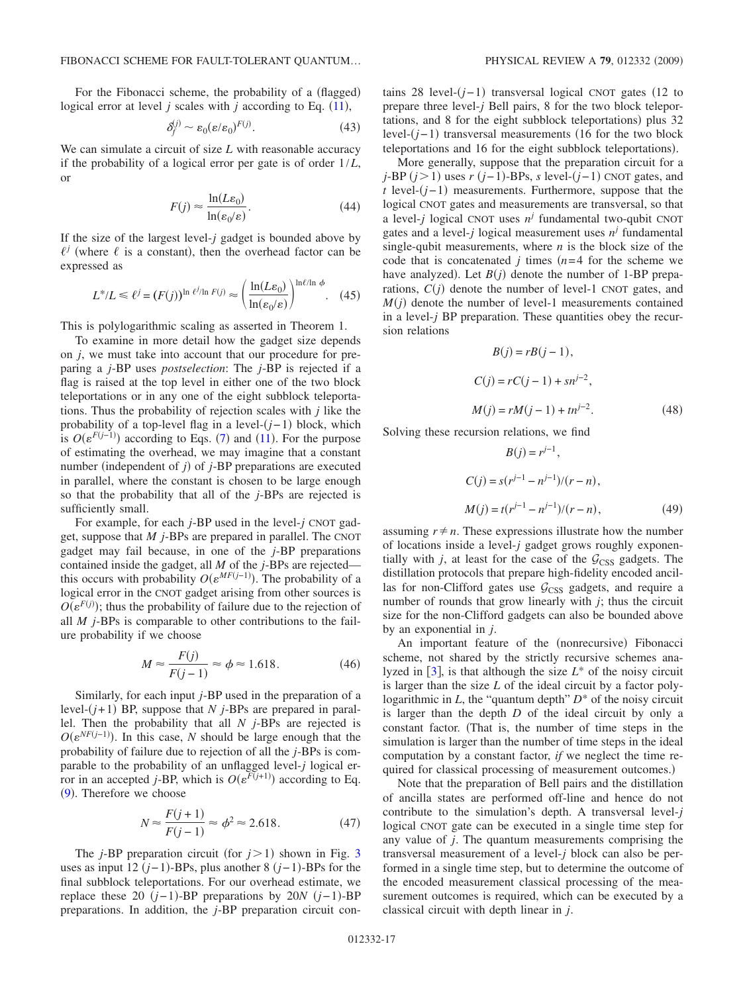For the Fibonacci scheme, the probability of a (flagged) logical error at level  $j$  scales with  $j$  according to Eq.  $(11)$  $(11)$  $(11)$ ,

$$
\delta_f^{(j)} \sim \varepsilon_0 (\varepsilon/\varepsilon_0)^{F(j)}.\tag{43}
$$

We can simulate a circuit of size *L* with reasonable accuracy if the probability of a logical error per gate is of order 1/*L*, or

$$
F(j) \approx \frac{\ln(L\varepsilon_0)}{\ln(\varepsilon_0/\varepsilon)}.\tag{44}
$$

If the size of the largest level-*j* gadget is bounded above by  $\ell^j$  (where  $\ell$  is a constant), then the overhead factor can be expressed as

$$
L^*/L \le \ell^j = (F(j))^{\ln \ell^j / \ln F(j)} \approx \left(\frac{\ln(L\varepsilon_0)}{\ln(\varepsilon_0/\varepsilon)}\right)^{\ln \ell / \ln \phi}.\tag{45}
$$

This is polylogarithmic scaling as asserted in Theorem 1.

To examine in more detail how the gadget size depends on *j*, we must take into account that our procedure for preparing a *j*-BP uses *postselection*: The *j*-BP is rejected if a flag is raised at the top level in either one of the two block teleportations or in any one of the eight subblock teleportations. Thus the probability of rejection scales with *j* like the probability of a top-level flag in a level-(*j*-1) block, which is  $O(\varepsilon^{F(j-1)})$  according to Eqs. ([7](#page-5-2)) and ([11](#page-5-1)). For the purpose of estimating the overhead, we may imagine that a constant number (independent of  $j$ ) of  $j$ -BP preparations are executed in parallel, where the constant is chosen to be large enough so that the probability that all of the *j*-BPs are rejected is sufficiently small.

For example, for each *j*-BP used in the level-*j* CNOT gadget, suppose that *M j*-BPs are prepared in parallel. The CNOT gadget may fail because, in one of the *j*-BP preparations contained inside the gadget, all *M* of the *j*-BPs are rejected this occurs with probability  $O(\varepsilon^{MF(j-1)})$ . The probability of a logical error in the CNOT gadget arising from other sources is  $O(\varepsilon^{F(j)})$ ; thus the probability of failure due to the rejection of all *M j*-BPs is comparable to other contributions to the failure probability if we choose

$$
M \approx \frac{F(j)}{F(j-1)} \approx \phi \approx 1.618. \tag{46}
$$

Similarly, for each input *j*-BP used in the preparation of a level- $(j+1)$  BP, suppose that *N j*-BPs are prepared in parallel. Then the probability that all *N j*-BPs are rejected is  $O(\varepsilon^{NF(j-1)})$ . In this case, *N* should be large enough that the probability of failure due to rejection of all the *j*-BPs is comparable to the probability of an unflagged level-*j* logical erfor in an accepted *j*-BP, which is  $O(\varepsilon^{\overline{F}(j+1)})$  according to Eq. ([9](#page-5-3)). Therefore we choose

$$
N \approx \frac{F(j+1)}{F(j-1)} \approx \phi^2 \approx 2.618. \tag{47}
$$

The  $j$ -BP preparation circuit (for  $j > 1$ ) shown in Fig. [3](#page-3-1) uses as input 12  $(j-1)$ -BPs, plus another 8  $(j-1)$ -BPs for the final subblock teleportations. For our overhead estimate, we replace these 20  $(j-1)$ -BP preparations by 20*N*  $(j-1)$ -BP preparations. In addition, the *j*-BP preparation circuit con-

tains 28 level-(*j*−1) transversal logical CNOT gates (12 to prepare three level-*j* Bell pairs, 8 for the two block teleportations, and 8 for the eight subblock teleportations) plus 32 level-(*j*−1) transversal measurements (16 for the two block teleportations and 16 for the eight subblock teleportations).

More generally, suppose that the preparation circuit for a *j*-BP (*j* > 1) uses *r* (*j*−1)-BPs, *s* level-(*j*−1) CNOT gates, and *t* level-(*j*−1) measurements. Furthermore, suppose that the logical CNOT gates and measurements are transversal, so that a level-*j* logical CNOT uses  $n^j$  fundamental two-qubit CNOT gates and a level-*j* logical measurement uses  $n<sup>j</sup>$  fundamental single-qubit measurements, where *n* is the block size of the code that is concatenated  $j$  times  $(n=4$  for the scheme we have analyzed). Let  $B(j)$  denote the number of 1-BP preparations,  $C(j)$  denote the number of level-1 CNOT gates, and  $M(j)$  denote the number of level-1 measurements contained in a level-*j* BP preparation. These quantities obey the recursion relations

$$
B(j) = rB(j - 1),
$$
  
\n
$$
C(j) = rC(j - 1) + sn^{j-2},
$$
  
\n
$$
M(j) = rM(j - 1) + tn^{j-2}.
$$
\n(48)

Solving these recursion relations, we find

$$
B(j) = r^{j-1},
$$
  
\n
$$
C(j) = s(r^{j-1} - n^{j-1})/(r - n),
$$
  
\n
$$
M(j) = t(r^{j-1} - n^{j-1})/(r - n),
$$
\n(49)

assuming  $r \neq n$ . These expressions illustrate how the number of locations inside a level-*j* gadget grows roughly exponentially with *j*, at least for the case of the  $G_{\text{CSS}}$  gadgets. The distillation protocols that prepare high-fidelity encoded ancillas for non-Clifford gates use  $G<sub>CSS</sub>$  gadgets, and require a number of rounds that grow linearly with *j*; thus the circuit size for the non-Clifford gadgets can also be bounded above by an exponential in *j*.

An important feature of the (nonrecursive) Fibonacci scheme, not shared by the strictly recursive schemes analyzed in  $\vert 3 \vert$  $\vert 3 \vert$  $\vert 3 \vert$ , is that although the size  $L^*$  of the noisy circuit is larger than the size *L* of the ideal circuit by a factor polylogarithmic in *L*, the "quantum depth" *D*\* of the noisy circuit is larger than the depth *D* of the ideal circuit by only a constant factor. (That is, the number of time steps in the simulation is larger than the number of time steps in the ideal computation by a constant factor, *if* we neglect the time required for classical processing of measurement outcomes.)

Note that the preparation of Bell pairs and the distillation of ancilla states are performed off-line and hence do not contribute to the simulation's depth. A transversal level-*j* logical CNOT gate can be executed in a single time step for any value of *j*. The quantum measurements comprising the transversal measurement of a level-*j* block can also be performed in a single time step, but to determine the outcome of the encoded measurement classical processing of the measurement outcomes is required, which can be executed by a classical circuit with depth linear in *j*.